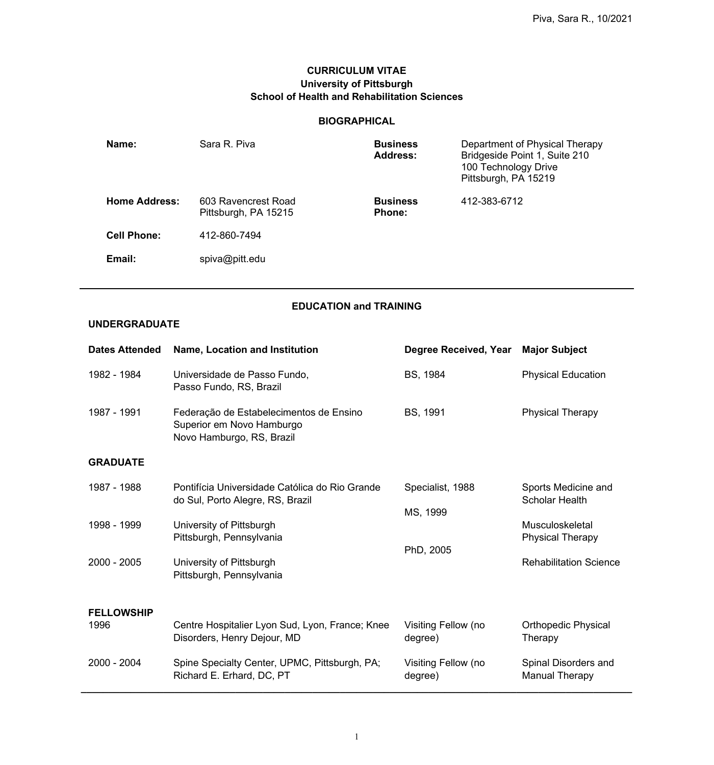## **CURRICULUM VITAE University of Pittsburgh School of Health and Rehabilitation Sciences**

### **BIOGRAPHICAL**

| Name:                | Sara R. Piva                                | <b>Business</b><br><b>Address:</b> | Department of Physical Therapy<br>Bridgeside Point 1, Suite 210<br>100 Technology Drive<br>Pittsburgh, PA 15219 |
|----------------------|---------------------------------------------|------------------------------------|-----------------------------------------------------------------------------------------------------------------|
| <b>Home Address:</b> | 603 Ravencrest Road<br>Pittsburgh, PA 15215 | <b>Business</b><br><b>Phone:</b>   | 412-383-6712                                                                                                    |
| <b>Cell Phone:</b>   | 412-860-7494                                |                                    |                                                                                                                 |
| Email:               | spiva@pitt.edu                              |                                    |                                                                                                                 |

# **EDUCATION and TRAINING**

## **UNDERGRADUATE**

| <b>Dates Attended</b> | <b>Name, Location and Institution</b>                                                             | Degree Received, Year          | <b>Major Subject</b>                          |
|-----------------------|---------------------------------------------------------------------------------------------------|--------------------------------|-----------------------------------------------|
| 1982 - 1984           | Universidade de Passo Fundo,<br>Passo Fundo, RS, Brazil                                           | BS, 1984                       | <b>Physical Education</b>                     |
| 1987 - 1991           | Federação de Estabelecimentos de Ensino<br>Superior em Novo Hamburgo<br>Novo Hamburgo, RS, Brazil | <b>BS, 1991</b>                | <b>Physical Therapy</b>                       |
| <b>GRADUATE</b>       |                                                                                                   |                                |                                               |
| 1987 - 1988           | Pontifícia Universidade Católica do Rio Grande<br>do Sul, Porto Alegre, RS, Brazil                | Specialist, 1988<br>MS, 1999   | Sports Medicine and<br><b>Scholar Health</b>  |
| 1998 - 1999           | University of Pittsburgh<br>Pittsburgh, Pennsylvania                                              | PhD, 2005                      | Musculoskeletal<br><b>Physical Therapy</b>    |
| 2000 - 2005           | University of Pittsburgh<br>Pittsburgh, Pennsylvania                                              |                                | <b>Rehabilitation Science</b>                 |
| <b>FELLOWSHIP</b>     |                                                                                                   |                                |                                               |
| 1996                  | Centre Hospitalier Lyon Sud, Lyon, France; Knee<br>Disorders, Henry Dejour, MD                    | Visiting Fellow (no<br>degree) | <b>Orthopedic Physical</b><br>Therapy         |
| 2000 - 2004           | Spine Specialty Center, UPMC, Pittsburgh, PA;<br>Richard E. Erhard, DC, PT                        | Visiting Fellow (no<br>degree) | Spinal Disorders and<br><b>Manual Therapy</b> |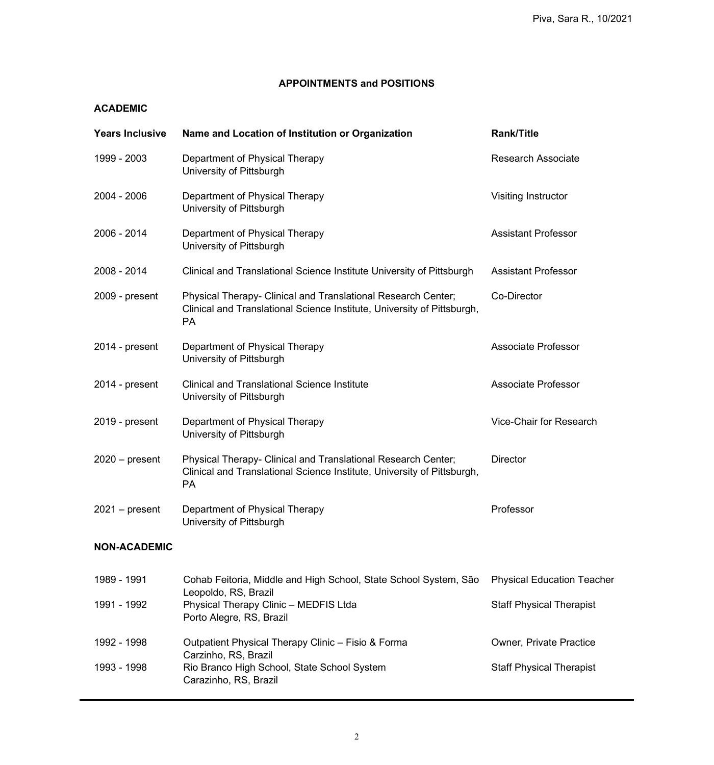### **APPOINTMENTS and POSITIONS**

### **ACADEMIC**

| <b>Years Inclusive</b> | Name and Location of Institution or Organization                                                                                                      | <b>Rank/Title</b>                 |
|------------------------|-------------------------------------------------------------------------------------------------------------------------------------------------------|-----------------------------------|
| 1999 - 2003            | Department of Physical Therapy<br>University of Pittsburgh                                                                                            | <b>Research Associate</b>         |
| 2004 - 2006            | Department of Physical Therapy<br>University of Pittsburgh                                                                                            | Visiting Instructor               |
| 2006 - 2014            | Department of Physical Therapy<br>University of Pittsburgh                                                                                            | <b>Assistant Professor</b>        |
| 2008 - 2014            | Clinical and Translational Science Institute University of Pittsburgh                                                                                 | <b>Assistant Professor</b>        |
| 2009 - present         | Physical Therapy- Clinical and Translational Research Center;<br>Clinical and Translational Science Institute, University of Pittsburgh,<br><b>PA</b> | Co-Director                       |
| 2014 - present         | Department of Physical Therapy<br>University of Pittsburgh                                                                                            | <b>Associate Professor</b>        |
| 2014 - present         | <b>Clinical and Translational Science Institute</b><br>University of Pittsburgh                                                                       | <b>Associate Professor</b>        |
| 2019 - present         | Department of Physical Therapy<br>University of Pittsburgh                                                                                            | Vice-Chair for Research           |
| $2020 - present$       | Physical Therapy- Clinical and Translational Research Center;<br>Clinical and Translational Science Institute, University of Pittsburgh,<br>PA        | <b>Director</b>                   |
| $2021 - present$       | Department of Physical Therapy<br>University of Pittsburgh                                                                                            | Professor                         |
| <b>NON-ACADEMIC</b>    |                                                                                                                                                       |                                   |
| 1989 - 1991            | Cohab Feitoria, Middle and High School, State School System, São                                                                                      | <b>Physical Education Teacher</b> |
| 1991 - 1992            | Leopoldo, RS, Brazil<br>Physical Therapy Clinic - MEDFIS Ltda<br>Porto Alegre, RS, Brazil                                                             | <b>Staff Physical Therapist</b>   |
| 1992 - 1998            | Outpatient Physical Therapy Clinic - Fisio & Forma<br>Carzinho, RS, Brazil                                                                            | <b>Owner, Private Practice</b>    |
| 1993 - 1998            | Rio Branco High School, State School System<br>Carazinho, RS, Brazil                                                                                  | <b>Staff Physical Therapist</b>   |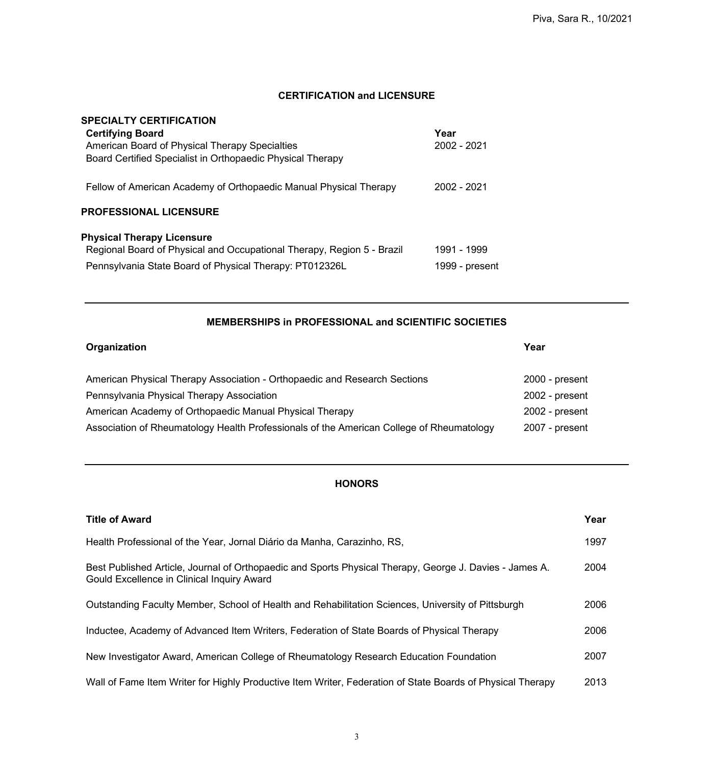### **CERTIFICATION and LICENSURE**

### **SPECIALTY CERTIFICATION**

| <b>Certifying Board</b>                                                | Year           |
|------------------------------------------------------------------------|----------------|
| American Board of Physical Therapy Specialties                         | 2002 - 2021    |
| Board Certified Specialist in Orthopaedic Physical Therapy             |                |
| Fellow of American Academy of Orthopaedic Manual Physical Therapy      | 2002 - 2021    |
| <b>PROFESSIONAL LICENSURE</b>                                          |                |
| <b>Physical Therapy Licensure</b>                                      |                |
| Regional Board of Physical and Occupational Therapy, Region 5 - Brazil | 1991 - 1999    |
| Pennsylvania State Board of Physical Therapy: PT012326L                | 1999 - present |

#### **MEMBERSHIPS in PROFESSIONAL and SCIENTIFIC SOCIETIES**

| Organization                                                                             | Year             |
|------------------------------------------------------------------------------------------|------------------|
| American Physical Therapy Association - Orthopaedic and Research Sections                | $2000 - present$ |
| Pennsylvania Physical Therapy Association                                                | $2002$ - present |
| American Academy of Orthopaedic Manual Physical Therapy                                  | $2002$ - present |
| Association of Rheumatology Health Professionals of the American College of Rheumatology | 2007 - present   |

## **HONORS**

| <b>Title of Award</b>                                                                                                                                 | Year |
|-------------------------------------------------------------------------------------------------------------------------------------------------------|------|
| Health Professional of the Year, Jornal Diário da Manha, Carazinho, RS,                                                                               | 1997 |
| Best Published Article, Journal of Orthopaedic and Sports Physical Therapy, George J. Davies - James A.<br>Gould Excellence in Clinical Inquiry Award | 2004 |
| Outstanding Faculty Member, School of Health and Rehabilitation Sciences, University of Pittsburgh                                                    | 2006 |
| Inductee, Academy of Advanced Item Writers, Federation of State Boards of Physical Therapy                                                            | 2006 |
| New Investigator Award, American College of Rheumatology Research Education Foundation                                                                | 2007 |
| Wall of Fame Item Writer for Highly Productive Item Writer, Federation of State Boards of Physical Therapy                                            | 2013 |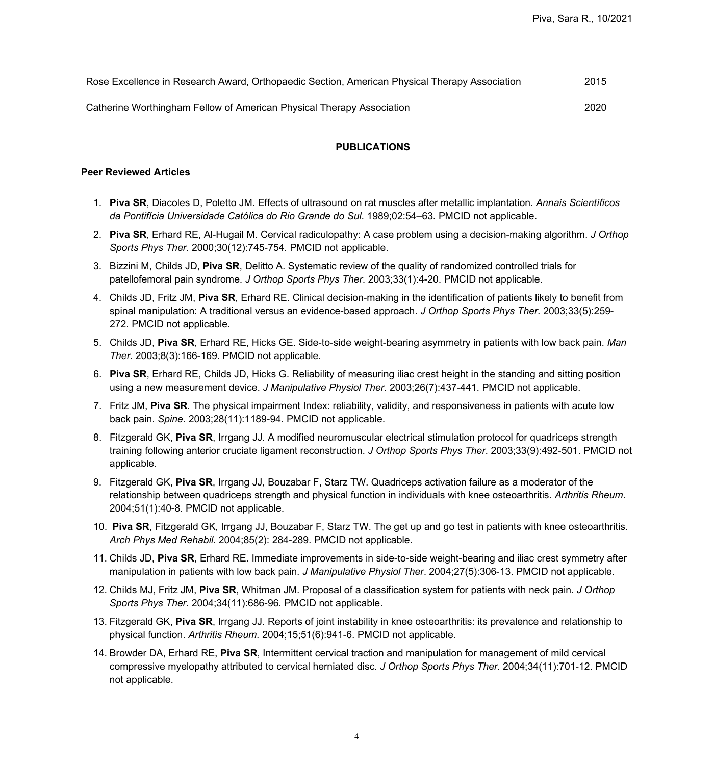| Rose Excellence in Research Award, Orthopaedic Section, American Physical Therapy Association | 2015 |
|-----------------------------------------------------------------------------------------------|------|
| Catherine Worthingham Fellow of American Physical Therapy Association                         | 2020 |

#### **PUBLICATIONS**

#### **Peer Reviewed Articles**

- 1. **Piva SR**, Diacoles D, Poletto JM. Effects of ultrasound on rat muscles after metallic implantation*. Annais Scientíficos da Pontifícia Universidade Católica do Rio Grande do Sul*. 1989;02:54–63. PMCID not applicable.
- 2. **Piva SR**, Erhard RE, Al-Hugail M. Cervical radiculopathy: A case problem using a decision-making algorithm. *J Orthop Sports Phys Ther*. 2000;30(12):745-754. PMCID not applicable.
- 3. Bizzini M, Childs JD, **Piva SR**, Delitto A. Systematic review of the quality of randomized controlled trials for patellofemoral pain syndrome. *J Orthop Sports Phys Ther*. 2003;33(1):4-20. PMCID not applicable.
- 4. Childs JD, Fritz JM, **Piva SR**, Erhard RE. Clinical decision-making in the identification of patients likely to benefit from spinal manipulation: A traditional versus an evidence-based approach. *J Orthop Sports Phys Ther*. 2003;33(5):259- 272. PMCID not applicable.
- 5. Childs JD, **Piva SR**, Erhard RE, Hicks GE. Side-to-side weight-bearing asymmetry in patients with low back pain. *Man Ther*. 2003;8(3):166-169. PMCID not applicable.
- 6. **Piva SR**, Erhard RE, Childs JD, Hicks G. Reliability of measuring iliac crest height in the standing and sitting position using a new measurement device. *J Manipulative Physiol Ther*. 2003;26(7):437-441. PMCID not applicable.
- 7. Fritz JM, **Piva SR**. The physical impairment Index: reliability, validity, and responsiveness in patients with acute low back pain. *Spine*. 2003;28(11):1189-94. PMCID not applicable.
- 8. Fitzgerald GK, **Piva SR**, Irrgang JJ. A modified neuromuscular electrical stimulation protocol for quadriceps strength training following anterior cruciate ligament reconstruction. *J Orthop Sports Phys Ther*. 2003;33(9):492-501. PMCID not applicable.
- 9. Fitzgerald GK, **Piva SR**, Irrgang JJ, Bouzabar F, Starz TW. Quadriceps activation failure as a moderator of the relationship between quadriceps strength and physical function in individuals with knee osteoarthritis. *Arthritis Rheum*. 2004;51(1):40-8. PMCID not applicable.
- 10. **Piva SR**, Fitzgerald GK, Irrgang JJ, Bouzabar F, Starz TW. The get up and go test in patients with knee osteoarthritis. *Arch Phys Med Rehabil*. 2004;85(2): 284-289. PMCID not applicable.
- 11. Childs JD, **Piva SR**, Erhard RE. Immediate improvements in side-to-side weight-bearing and iliac crest symmetry after manipulation in patients with low back pain. *J Manipulative Physiol Ther*. 2004;27(5):306-13. PMCID not applicable.
- 12. [Childs MJ, Fritz JM,](http://www.ncbi.nlm.nih.gov/entrez/query.fcgi?cmd=Retrieve&db=pubmed&dopt=Abstract&list_uids=15609489) **Piva SR**, Whitman JM. Proposal of a classification system for patients with neck pain. *J Orthop Sports Phys Ther*. 2004;34(11):686-96. PMCID not applicable.
- 13. [Fitzgerald GK,](http://www.ncbi.nlm.nih.gov/entrez/query.fcgi?cmd=Retrieve&db=pubmed&dopt=Abstract&list_uids=15593258) **Piva SR**, Irrgang JJ. Reports of joint instability in knee osteoarthritis: its prevalence and relationship to physical function. *Arthritis Rheum*. 2004;15;51(6):941-6. PMCID not applicable.
- 14. Browder DA, Erhard RE, **Piva SR**, Intermittent cervical traction and manipulation for management of mild cervical compressive myelopathy attributed to cervical herniated disc*. J Orthop Sports Phys Ther*. 2004;34(11):701-12. PMCID not applicable.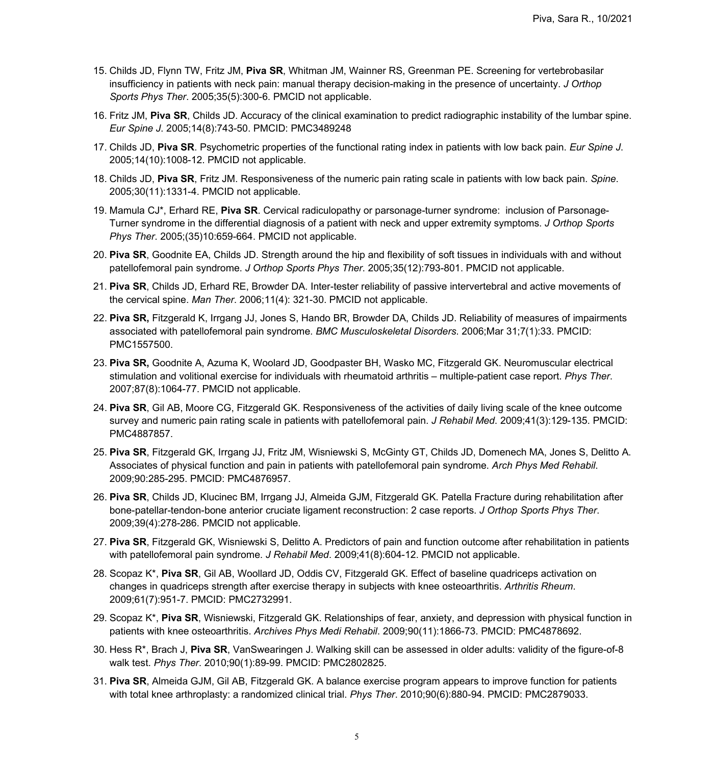- 15. Childs JD, Flynn TW, Fritz JM, **Piva SR**, Whitman JM, Wainner RS, Greenman PE. Screening for vertebrobasilar insufficiency in patients with neck pain: manual therapy decision-making in the presence of uncertainty. *J Orthop Sports Phys Ther*. 2005;35(5):300-6. PMCID not applicable.
- 16. Fritz JM, **Piva SR**, Childs JD. Accuracy of the clinical examination to predict radiographic instability of the lumbar spine. *Eur Spine J*. 2005;14(8):743-50. PMCID: PMC3489248
- 17. Childs JD, **Piva SR**. Psychometric properties of the functional rating index in patients with low back pain. *Eur Spine J*. 2005;14(10):1008-12. PMCID not applicable.
- 18. Childs JD, **Piva SR**, Fritz JM. Responsiveness of the numeric pain rating scale in patients with low back pain. *Spine*. 2005;30(11):1331-4. PMCID not applicable.
- 19. Mamula CJ\*, Erhard RE, **Piva SR**. Cervical radiculopathy or parsonage-turner syndrome: inclusion of Parsonage-Turner syndrome in the differential diagnosis of a patient with neck and upper extremity symptoms. *J Orthop Sports Phys Ther*. 2005;(35)10:659-664. PMCID not applicable.
- 20. **Piva SR**, Goodnite EA, Childs JD. Strength around the hip and flexibility of soft tissues in individuals with and without patellofemoral pain syndrome. *J Orthop Sports Phys Ther*. 2005;35(12):793-801. PMCID not applicable.
- 21. **Piva SR**, Childs JD, Erhard RE, Browder DA. Inter-tester reliability of passive intervertebral and active movements of the cervical spine. *Man Ther*. 2006;11(4): 321-30. PMCID not applicable.
- 22. **Piva SR,** [Fitzgerald K, Irrgang JJ, Jones S, Hando BR, Browder DA, Childs JD.](http://www.ncbi.nlm.nih.gov/entrez/query.fcgi?cmd=Retrieve&db=pubmed&dopt=Abstract&list_uids=16579850&query_hl=1&itool=pubmed_docsum) Reliability of measures of impairments associated with patellofemoral pain syndrome. *BMC Musculoskeletal Disorders*. 2006;Mar 31;7(1):33. PMCID: PMC1557500.
- 23. **Piva SR,** Goodnite A, Azuma K, Woolard JD, Goodpaster BH, Wasko MC, Fitzgerald GK. Neuromuscular electrical stimulation and volitional exercise for individuals with rheumatoid arthritis – multiple-patient case report. *Phys Ther*. 2007;87(8):1064-77. PMCID not applicable.
- 24. **Piva SR**, Gil AB, Moore CG, Fitzgerald GK. Responsiveness of the activities of daily living scale of the knee outcome survey and numeric pain rating scale in patients with patellofemoral pain. *J Rehabil Med*. 2009;41(3):129-135. PMCID: PMC4887857.
- 25. **Piva SR**, Fitzgerald GK, Irrgang JJ, Fritz JM, Wisniewski S, McGinty GT, Childs JD, Domenech MA, Jones S, Delitto A. Associates of physical function and pain in patients with patellofemoral pain syndrome. *Arch Phys Med Rehabil*. 2009;90:285-295. PMCID: PMC4876957.
- 26. **Piva SR**, Childs JD, Klucinec BM, Irrgang JJ, Almeida GJM, Fitzgerald GK. Patella Fracture during rehabilitation after bone-patellar-tendon-bone anterior cruciate ligament reconstruction: 2 case reports. *J Orthop Sports Phys Ther*. 2009;39(4):278-286. PMCID not applicable.
- 27. **Piva SR**, Fitzgerald GK, Wisniewski S, Delitto A. Predictors of pain and function outcome after rehabilitation in patients with patellofemoral pain syndrome. *J Rehabil Med*. 2009;41(8):604-12. PMCID not applicable.
- 28. Scopaz K\*, **Piva SR**, Gil AB, Woollard JD, Oddis CV, Fitzgerald GK. Effect of baseline quadriceps activation on changes in quadriceps strength after exercise therapy in subjects with knee osteoarthritis. *Arthritis Rheum*. 2009;61(7):951-7. PMCID: PMC2732991.
- 29. Scopaz K\*, **Piva SR**, Wisniewski, Fitzgerald GK. Relationships of fear, anxiety, and depression with physical function in patients with knee osteoarthritis. *Archives Phys Medi Rehabil*. 2009;90(11):1866-73. PMCID: PMC4878692.
- 30. Hess R\*, Brach J, **Piva SR**, VanSwearingen J. Walking skill can be assessed in older adults: validity of the figure-of-8 walk test. *Phys Ther*. 2010;90(1):89-99. PMCID: PMC2802825.
- 31. **Piva SR**, Almeida GJM, Gil AB, Fitzgerald GK. A balance exercise program appears to improve function for patients with total knee arthroplasty: a randomized clinical trial. *Phys Ther*. 2010;90(6):880-94. PMCID: PMC2879033.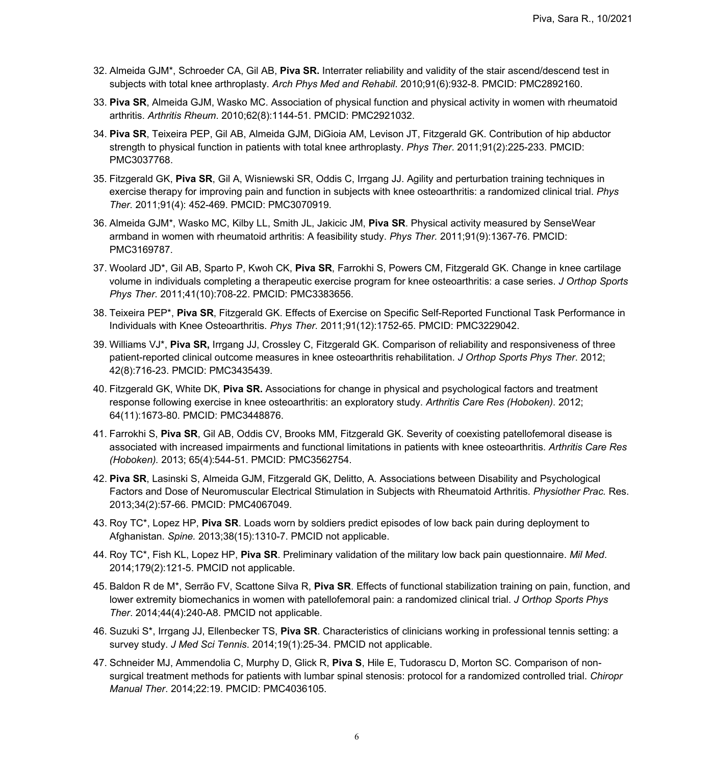- 32. Almeida GJM\*, Schroeder CA, Gil AB, **Piva SR.** Interrater reliability and validity of the stair ascend/descend test in subjects with total knee arthroplasty. *Arch Phys Med and Rehabil*. 2010;91(6):932-8. PMCID: PMC2892160.
- 33. **Piva SR**, Almeida GJM, Wasko MC. Association of physical function and physical activity in women with rheumatoid arthritis. *Arthritis Rheum*. 2010;62(8):1144-51. PMCID: PMC2921032.
- 34. **Piva SR**, Teixeira PEP, Gil AB, Almeida GJM, DiGioia AM, Levison JT, Fitzgerald GK. Contribution of hip abductor strength to physical function in patients with total knee arthroplasty. *Phys Ther*. 2011;91(2):225-233. PMCID: PMC3037768.
- 35. Fitzgerald GK, **Piva SR**, Gil A, Wisniewski SR, Oddis C, Irrgang JJ. Agility and perturbation training techniques in exercise therapy for improving pain and function in subjects with knee osteoarthritis: a randomized clinical trial. *Phys Ther.* 2011;91(4): 452-469. PMCID: PMC3070919.
- 36. Almeida GJM\*, Wasko MC, Kilby LL, Smith JL, Jakicic JM, **Piva SR**. Physical activity measured by SenseWear armband in women with rheumatoid arthritis: A feasibility study. *Phys Ther.* 2011;91(9):1367-76. PMCID: PMC3169787.
- 37. Woolard JD\*, Gil AB, Sparto P, Kwoh CK, **Piva SR**, Farrokhi S, Powers CM, Fitzgerald GK. Change in knee cartilage volume in individuals completing a therapeutic exercise program for knee osteoarthritis: a case series. *J Orthop Sports Phys Ther*. 2011;41(10):708-22. PMCID: PMC3383656.
- 38. Teixeira PEP\*, **Piva SR**, Fitzgerald GK. Effects of Exercise on Specific Self-Reported Functional Task Performance in Individuals with Knee Osteoarthritis. *Phys Ther*. 2011;91(12):1752-65. PMCID: PMC3229042.
- 39. Williams VJ\*, **Piva SR,** Irrgang JJ, Crossley C, Fitzgerald GK. Comparison of reliability and responsiveness of three patient-reported clinical outcome measures in knee osteoarthritis rehabilitation. *J Orthop Sports Phys Ther*. 2012; 42(8):716-23. PMCID: PMC3435439.
- 40. Fitzgerald GK, White DK, **Piva SR.** Associations for change in physical and psychological factors and treatment response following exercise in knee osteoarthritis: an exploratory study. *Arthritis Care Res (Hoboken).* 2012; 64(11):1673-80. PMCID: PMC3448876.
- 41. Farrokhi S, **Piva SR**, Gil AB, Oddis CV, Brooks MM, Fitzgerald GK. Severity of coexisting patellofemoral disease is associated with increased impairments and functional limitations in patients with knee osteoarthritis. *Arthritis Care Res (Hoboken).* 2013; 65(4):544-51. PMCID: PMC3562754.
- 42. **Piva SR**, Lasinski S, Almeida GJM, Fitzgerald GK, Delitto, A. Associations between Disability and Psychological Factors and Dose of Neuromuscular Electrical Stimulation in Subjects with Rheumatoid Arthritis. *Physiother Prac.* Res. 2013;34(2):57-66. PMCID: PMC4067049.
- 43. Roy TC\*, Lopez HP, **Piva SR**. Loads worn by soldiers predict episodes of low back pain during deployment to Afghanistan. *Spine.* 2013;38(15):1310-7. PMCID not applicable.
- 44. Roy TC\*, Fish KL, Lopez HP, **Piva SR**. Preliminary validation of the military low back pain questionnaire. *Mil Med*. 2014;179(2):121-5. PMCID not applicable.
- 45. Baldon R de M\*, Serrão FV, Scattone Silva R, **Piva SR**. Effects of functional stabilization training on pain, function, and lower extremity biomechanics in women with patellofemoral pain: a randomized clinical trial. *J Orthop Sports Phys Ther*. 2014;44(4):240-A8. PMCID not applicable.
- 46. Suzuki S\*, Irrgang JJ, Ellenbecker TS, **Piva SR**. Characteristics of clinicians working in professional tennis setting: a survey study. *J Med Sci Tennis*. 2014;19(1):25-34. PMCID not applicable.
- 47. Schneider MJ, Ammendolia C, Murphy D, Glick R, **Piva S**, Hile E, Tudorascu D, Morton SC. Comparison of nonsurgical treatment methods for patients with lumbar spinal stenosis: protocol for a randomized controlled trial. *Chiropr Manual Ther*. 2014;22:19. PMCID: PMC4036105.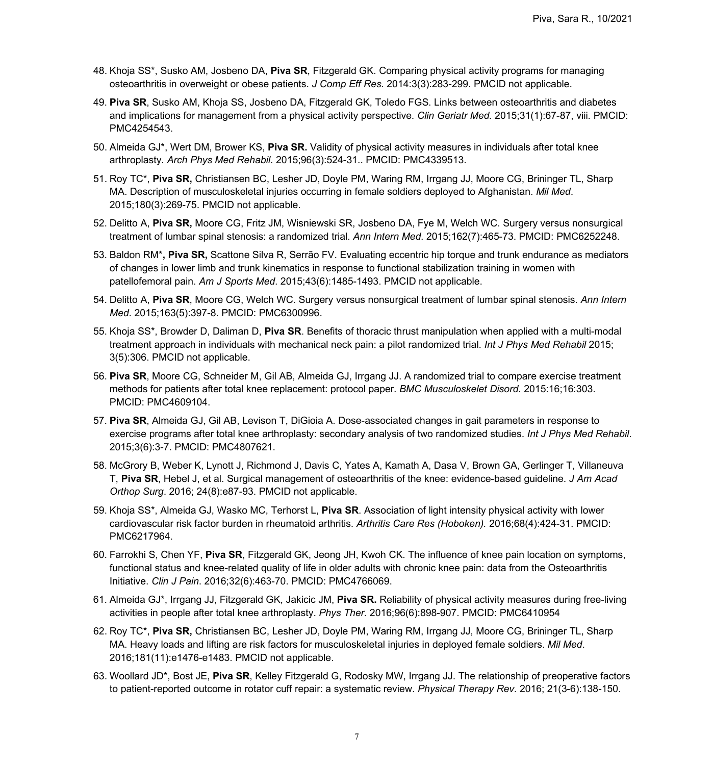- 48. Khoja SS\*, Susko AM, Josbeno DA, **Piva SR**, Fitzgerald GK. Comparing physical activity programs for managing osteoarthritis in overweight or obese patients. *J Comp Eff Res.* 2014:3(3):283-299. PMCID not applicable.
- 49. **Piva SR**, Susko AM, Khoja SS, Josbeno DA, Fitzgerald GK, Toledo FGS. Links between osteoarthritis and diabetes and implications for management from a physical activity perspective. *Clin Geriatr Med.* 2015;31(1):67-87, viii. PMCID: PMC4254543.
- 50. Almeida GJ\*, Wert DM, Brower KS, **Piva SR.** Validity of physical activity measures in individuals after total knee arthroplasty. *Arch Phys Med Rehabil*. 2015;96(3):524-31.. PMCID: PMC4339513.
- 51. Roy TC\*, **Piva SR,** Christiansen BC, Lesher JD, Doyle PM, Waring RM, Irrgang JJ, Moore CG, Brininger TL, Sharp MA. Description of musculoskeletal injuries occurring in female soldiers deployed to Afghanistan. *Mil Med*. 2015;180(3):269-75. PMCID not applicable.
- 52. Delitto A, **Piva SR,** Moore CG, Fritz JM, Wisniewski SR, Josbeno DA, Fye M, Welch WC. Surgery versus nonsurgical treatment of lumbar spinal stenosis: a randomized trial. *Ann Intern Med*. 2015;162(7):465-73. PMCID: PMC6252248.
- 53. Baldon RM\***, Piva SR,** Scattone Silva R, Serrão FV. Evaluating eccentric hip torque and trunk endurance as mediators of changes in lower limb and trunk kinematics in response to functional stabilization training in women with patellofemoral pain. *Am J Sports Med*. 2015;43(6):1485-1493. PMCID not applicable.
- 54. Delitto A, **Piva SR**, Moore CG, Welch WC. Surgery versus nonsurgical treatment of lumbar spinal stenosis. *Ann Intern Med*. 2015;163(5):397-8. PMCID: PMC6300996.
- 55. Khoja SS\*, Browder D, Daliman D, **Piva SR**. Benefits of thoracic thrust manipulation when applied with a multi-modal treatment approach in individuals with mechanical neck pain: a pilot randomized trial. *Int J Phys Med Rehabil* 2015; 3(5):306. PMCID not applicable.
- 56. **Piva SR**, Moore CG, Schneider M, Gil AB, Almeida GJ, Irrgang JJ. A randomized trial to compare exercise treatment methods for patients after total knee replacement: protocol paper. *BMC Musculoskelet Disord*. 2015:16;16:303. PMCID: PMC4609104.
- 57. **Piva SR**, Almeida GJ, Gil AB, Levison T, DiGioia A. Dose-associated changes in gait parameters in response to exercise programs after total knee arthroplasty: secondary analysis of two randomized studies. *Int J Phys Med Rehabil*. 2015;3(6):3-7. PMCID: PMC4807621.
- 58. McGrory B, Weber K, Lynott J, Richmond J, Davis C, Yates A, Kamath A, Dasa V, Brown GA, Gerlinger T, Villaneuva T, **Piva SR**, Hebel J, et al. Surgical management of osteoarthritis of the knee: evidence-based guideline. *J Am Acad Orthop Surg*. 2016; 24(8):e87-93. PMCID not applicable.
- 59. Khoja SS\*, Almeida GJ, Wasko MC, Terhorst L, **Piva SR**. Association of light intensity physical activity with lower cardiovascular risk factor burden in rheumatoid arthritis. *Arthritis Care Res (Hoboken).* 2016;68(4):424-31. PMCID: PMC6217964.
- 60. Farrokhi S, Chen YF, **Piva SR**, Fitzgerald GK, Jeong JH, Kwoh CK. The influence of knee pain location on symptoms, functional status and knee-related quality of life in older adults with chronic knee pain: data from the Osteoarthritis Initiative. *Clin J Pain*. 2016;32(6):463-70. PMCID: PMC4766069.
- 61. Almeida GJ\*, Irrgang JJ, Fitzgerald GK, Jakicic JM, **Piva SR.** Reliability of physical activity measures during free-living activities in people after total knee arthroplasty. *Phys Ther*. 2016;96(6):898-907. PMCID: PMC6410954
- 62. Roy TC\*, **Piva SR,** Christiansen BC, Lesher JD, Doyle PM, Waring RM, Irrgang JJ, Moore CG, Brininger TL, Sharp MA. Heavy loads and lifting are risk factors for musculoskeletal injuries in deployed female soldiers. *Mil Med*. 2016;181(11):e1476-e1483. PMCID not applicable.
- 63. Woollard JD\*, Bost JE, **Piva SR**, Kelley Fitzgerald G, Rodosky MW, Irrgang JJ. The relationship of preoperative factors to patient-reported outcome in rotator cuff repair: a systematic review. *Physical Therapy Rev*. 2016; 21(3-6):138-150.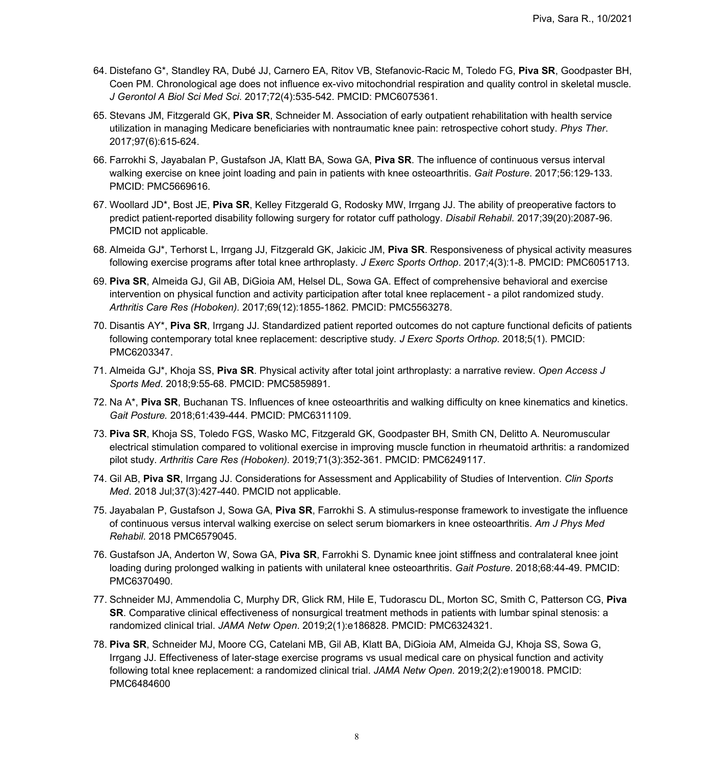- 64. Distefano G\*, Standley RA, Dubé JJ, Carnero EA, Ritov VB, Stefanovic-Racic M, Toledo FG, **Piva SR**, Goodpaster BH, Coen PM. Chronological age does not influence ex-vivo mitochondrial respiration and quality control in skeletal muscle. *J Gerontol A Biol Sci Med Sci*. 2017;72(4):535-542. PMCID: PMC6075361.
- 65. Stevans JM, Fitzgerald GK, **Piva SR**, Schneider M. Association of early outpatient rehabilitation with health service utilization in managing Medicare beneficiaries with nontraumatic knee pain: retrospective cohort study. *Phys Ther*. 2017;97(6):615-624.
- 66. Farrokhi S, Jayabalan P, Gustafson JA, Klatt BA, Sowa GA, **Piva SR**. The influence of continuous versus interval walking exercise on knee joint loading and pain in patients with knee osteoarthritis. *Gait Posture*. 2017;56:129-133. PMCID: PMC5669616.
- 67. Woollard JD\*, Bost JE, **Piva SR**, Kelley Fitzgerald G, Rodosky MW, Irrgang JJ. The ability of preoperative factors to predict patient-reported disability following surgery for rotator cuff pathology. *Disabil Rehabil*. 2017;39(20):2087-96. PMCID not applicable.
- 68. Almeida GJ\*, Terhorst L, Irrgang JJ, Fitzgerald GK, Jakicic JM, **Piva SR**. Responsiveness of physical activity measures following exercise programs after total knee arthroplasty. *J Exerc Sports Orthop*. 2017;4(3):1-8. PMCID: PMC6051713.
- 69. **Piva SR**, Almeida GJ, Gil AB, DiGioia AM, Helsel DL, Sowa GA. Effect of comprehensive behavioral and exercise intervention on physical function and activity participation after total knee replacement - a pilot randomized study. *Arthritis Care Res (Hoboken).* 2017;69(12):1855-1862. PMCID: PMC5563278.
- 70. Disantis AY\*, **Piva SR**, Irrgang JJ. Standardized patient reported outcomes do not capture functional deficits of patients following contemporary total knee replacement: descriptive study*. J Exerc Sports Orthop*. 2018;5(1). PMCID: PMC6203347.
- 71. Almeida GJ\*, Khoja SS, **Piva SR**. Physical activity after total joint arthroplasty: a narrative review. *Open Access J Sports Med*. 2018;9:55-68. PMCID: PMC5859891.
- 72. Na A\*, **Piva SR**, Buchanan TS. Influences of knee osteoarthritis and walking difficulty on knee kinematics and kinetics. *Gait Posture.* 2018;61:439-444. PMCID: PMC6311109.
- 73. **Piva SR**, Khoja SS, Toledo FGS, Wasko MC, Fitzgerald GK, Goodpaster BH, Smith CN, Delitto A. Neuromuscular electrical stimulation compared to volitional exercise in improving muscle function in rheumatoid arthritis: a randomized pilot study. *Arthritis Care Res (Hoboken)*. 2019;71(3):352-361. PMCID: PMC6249117.
- 74. Gil AB, **Piva SR**, Irrgang JJ. Considerations for Assessment and Applicability of Studies of Intervention. *Clin Sports Med*. 2018 Jul;37(3):427-440. PMCID not applicable.
- 75. Jayabalan P, Gustafson J, Sowa GA, **Piva SR**, Farrokhi S. A stimulus-response framework to investigate the influence of continuous versus interval walking exercise on select serum biomarkers in knee osteoarthritis. *Am J Phys Med Rehabil*. 2018 PMC6579045.
- 76. Gustafson JA, Anderton W, Sowa GA, **Piva SR**, Farrokhi S. Dynamic knee joint stiffness and contralateral knee joint loading during prolonged walking in patients with unilateral knee osteoarthritis. *Gait Posture*. 2018;68:44-49. PMCID: PMC6370490.
- 77. Schneider MJ, Ammendolia C, Murphy DR, Glick RM, Hile E, Tudorascu DL, Morton SC, Smith C, Patterson CG, **Piva SR**. Comparative clinical effectiveness of nonsurgical treatment methods in patients with lumbar spinal stenosis: a randomized clinical trial. *JAMA Netw Open*. 2019;2(1):e186828. PMCID: PMC6324321.
- 78. **Piva SR**, Schneider MJ, Moore CG, Catelani MB, Gil AB, Klatt BA, DiGioia AM, Almeida GJ, Khoja SS, Sowa G, Irrgang JJ. Effectiveness of later-stage exercise programs vs usual medical care on physical function and activity following total knee replacement: a randomized clinical trial. *JAMA Netw Open.* 2019;2(2):e190018. PMCID: PMC6484600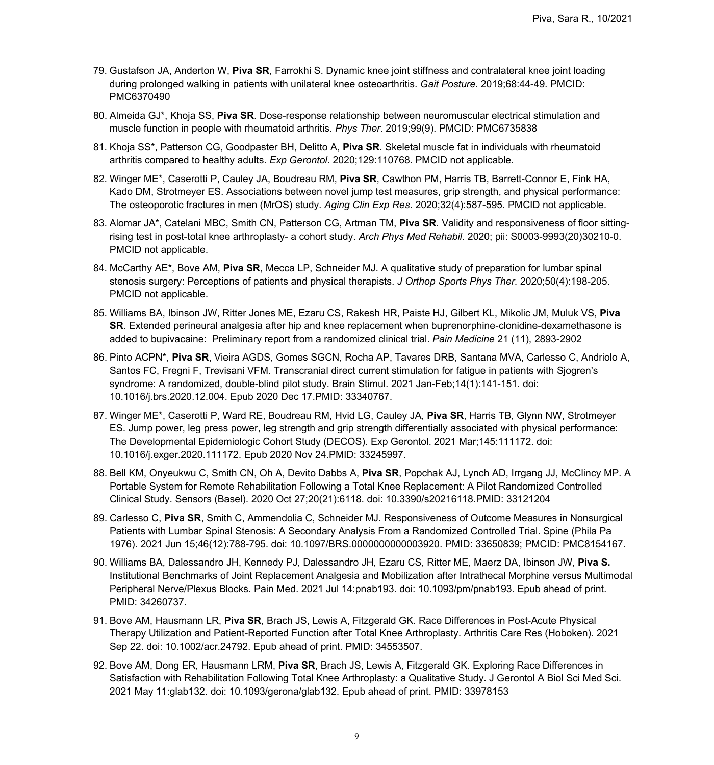- 79. Gustafson JA, Anderton W, **Piva SR**, Farrokhi S. Dynamic knee joint stiffness and contralateral knee joint loading during prolonged walking in patients with unilateral knee osteoarthritis. *Gait Posture*. 2019;68:44-49. PMCID: PMC6370490
- 80. Almeida GJ\*, Khoja SS, **Piva SR**. Dose-response relationship between neuromuscular electrical stimulation and muscle function in people with rheumatoid arthritis. *Phys Ther*. 2019;99(9). PMCID: PMC6735838
- 81. Khoja SS\*, Patterson CG, Goodpaster BH, Delitto A, **Piva SR**. Skeletal muscle fat in individuals with rheumatoid arthritis compared to healthy adults. *Exp Gerontol*. 2020;129:110768. PMCID not applicable.
- 82. Winger ME\*, Caserotti P, Cauley JA, Boudreau RM, **Piva SR**, Cawthon PM, Harris TB, Barrett-Connor E, Fink HA, Kado DM, Strotmeyer ES. Associations between novel jump test measures, grip strength, and physical performance: The osteoporotic fractures in men (MrOS) study. *Aging Clin Exp Res*. 2020;32(4):587-595. PMCID not applicable.
- 83. Alomar JA\*, Catelani MBC, Smith CN, Patterson CG, Artman TM, **Piva SR**. Validity and responsiveness of floor sittingrising test in post-total knee arthroplasty- a cohort study. *Arch Phys Med Rehabil*. 2020; pii: S0003-9993(20)30210-0. PMCID not applicable.
- 84. McCarthy AE\*, Bove AM, **Piva SR**, Mecca LP, Schneider MJ. A qualitative study of preparation for lumbar spinal stenosis surgery: Perceptions of patients and physical therapists. *J Orthop Sports Phys Ther*. 2020;50(4):198-205. PMCID not applicable.
- 85. Williams BA, Ibinson JW, Ritter Jones ME, Ezaru CS, Rakesh HR, Paiste HJ, Gilbert KL, Mikolic JM, Muluk VS, **Piva SR**. Extended perineural analgesia after hip and knee replacement when buprenorphine-clonidine-dexamethasone is added to bupivacaine: Preliminary report from a randomized clinical trial. *Pain Medicine* 21 (11), 2893-2902
- 86. Pinto ACPN\*, **Piva SR**, Vieira AGDS, Gomes SGCN, Rocha AP, Tavares DRB, Santana MVA, Carlesso C, Andriolo A, Santos FC, Fregni F, Trevisani VFM. [Transcranial direct current stimulation for fatigue in patients with Sjogren's](https://pubmed.ncbi.nlm.nih.gov/33340767/)  [syndrome: A randomized, double-blind pilot study.](https://pubmed.ncbi.nlm.nih.gov/33340767/) Brain Stimul. 2021 Jan-Feb;14(1):141-151. doi: 10.1016/j.brs.2020.12.004. Epub 2020 Dec 17.PMID: 33340767.
- 87. Winger ME\*, Caserotti P, Ward RE, Boudreau RM, Hvid LG, Cauley JA, **Piva SR**, Harris TB, Glynn NW, Strotmeyer ES. [Jump power, leg press power, leg strength and grip strength differentially associated with physical performance:](https://pubmed.ncbi.nlm.nih.gov/33245997/)  [The Developmental Epidemiologic Cohort Study \(DECOS\).](https://pubmed.ncbi.nlm.nih.gov/33245997/) Exp Gerontol. 2021 Mar;145:111172. doi: 10.1016/j.exger.2020.111172. Epub 2020 Nov 24.PMID: 33245997.
- 88. Bell KM, Onyeukwu C, Smith CN, Oh A, Devito Dabbs A, **Piva SR**, Popchak AJ, Lynch AD, Irrgang JJ, McClincy MP. [A](https://pubmed.ncbi.nlm.nih.gov/33121204/)  [Portable System for Remote Rehabilitation Following a Total Knee Replacement: A Pilot Randomized Controlled](https://pubmed.ncbi.nlm.nih.gov/33121204/)  [Clinical Study.](https://pubmed.ncbi.nlm.nih.gov/33121204/) Sensors (Basel). 2020 Oct 27;20(21):6118. doi: 10.3390/s20216118.PMID: 33121204
- 89. Carlesso C, **Piva SR**, Smith C, Ammendolia C, Schneider MJ. Responsiveness of Outcome Measures in Nonsurgical Patients with Lumbar Spinal Stenosis: A Secondary Analysis From a Randomized Controlled Trial. Spine (Phila Pa 1976). 2021 Jun 15;46(12):788-795. doi: 10.1097/BRS.0000000000003920. PMID: 33650839; PMCID: PMC8154167.
- 90. Williams BA, Dalessandro JH, Kennedy PJ, Dalessandro JH, Ezaru CS, Ritter ME, Maerz DA, Ibinson JW, **Piva S.** Institutional Benchmarks of Joint Replacement Analgesia and Mobilization after Intrathecal Morphine versus Multimodal Peripheral Nerve/Plexus Blocks. Pain Med. 2021 Jul 14:pnab193. doi: 10.1093/pm/pnab193. Epub ahead of print. PMID: 34260737.
- 91. Bove AM, Hausmann LR, **Piva SR**, Brach JS, Lewis A, Fitzgerald GK. Race Differences in Post-Acute Physical Therapy Utilization and Patient-Reported Function after Total Knee Arthroplasty. Arthritis Care Res (Hoboken). 2021 Sep 22. doi: 10.1002/acr.24792. Epub ahead of print. PMID: 34553507.
- 92. Bove AM, Dong ER, Hausmann LRM, **Piva SR**, Brach JS, Lewis A, Fitzgerald GK. Exploring Race Differences in Satisfaction with Rehabilitation Following Total Knee Arthroplasty: a Qualitative Study. J Gerontol A Biol Sci Med Sci. 2021 May 11:glab132. doi: 10.1093/gerona/glab132. Epub ahead of print. PMID: 33978153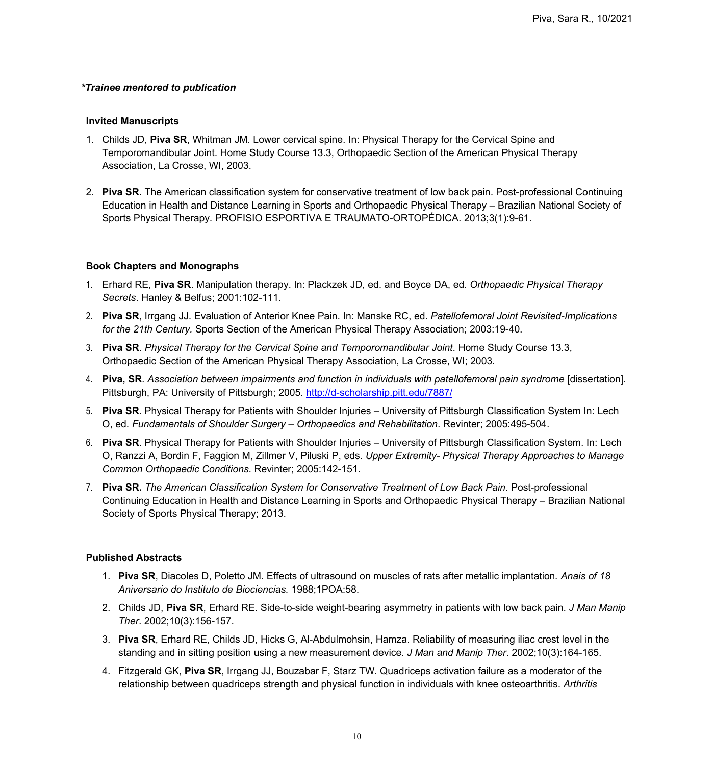#### *\*Trainee mentored to publication*

#### **Invited Manuscripts**

- 1. Childs JD, **Piva SR**, Whitman JM. Lower cervical spine. In: Physical Therapy for the Cervical Spine and Temporomandibular Joint. Home Study Course 13.3, Orthopaedic Section of the American Physical Therapy Association, La Crosse, WI, 2003.
- 2. **Piva SR.** The American classification system for conservative treatment of low back pain. Post-professional Continuing Education in Health and Distance Learning in Sports and Orthopaedic Physical Therapy – Brazilian National Society of Sports Physical Therapy. PROFISIO ESPORTIVA E TRAUMATO-ORTOPÉDICA. 2013;3(1):9-61.

### **Book Chapters and Monographs**

- 1. Erhard RE, **Piva SR**. Manipulation therapy. In: Plackzek JD, ed. and Boyce DA, ed. *Orthopaedic Physical Therapy Secrets*. Hanley & Belfus; 2001:102-111.
- 2. **Piva SR**, Irrgang JJ. Evaluation of Anterior Knee Pain. In: Manske RC, ed. *Patellofemoral Joint Revisited-Implications for the 21th Century.* Sports Section of the American Physical Therapy Association; 2003:19-40.
- 3. **Piva SR**. *Physical Therapy for the Cervical Spine and Temporomandibular Joint*. Home Study Course 13.3, Orthopaedic Section of the American Physical Therapy Association, La Crosse, WI; 2003.
- 4. **Piva, SR**. *Association between impairments and function in individuals with patellofemoral pain syndrome* [dissertation]. Pittsburgh, PA: University of Pittsburgh; 2005. <http://d-scholarship.pitt.edu/7887/>
- 5. **Piva SR**. Physical Therapy for Patients with Shoulder Injuries University of Pittsburgh Classification System In: Lech O, ed*. Fundamentals of Shoulder Surgery – Orthopaedics and Rehabilitation*. Revinter; 2005:495-504.
- 6. **Piva SR**. Physical Therapy for Patients with Shoulder Injuries University of Pittsburgh Classification System. In: Lech O, Ranzzi A, Bordin F, Faggion M, Zillmer V, Piluski P, eds. *Upper Extremity- Physical Therapy Approaches to Manage Common Orthopaedic Conditions*. Revinter; 2005:142-151.
- 7. **Piva SR.** *The American Classification System for Conservative Treatment of Low Back Pain.* Post-professional Continuing Education in Health and Distance Learning in Sports and Orthopaedic Physical Therapy – Brazilian National Society of Sports Physical Therapy; 2013.

#### **Published Abstracts**

- 1. **Piva SR**, Diacoles D, Poletto JM. Effects of ultrasound on muscles of rats after metallic implantation*. Anais of 18 Aniversario do Instituto de Biociencias.* 1988;1POA:58.
- 2. Childs JD, **Piva SR**, Erhard RE. Side-to-side weight-bearing asymmetry in patients with low back pain. *J Man Manip Ther*. 2002;10(3):156-157.
- 3. **Piva SR**, Erhard RE, Childs JD, Hicks G, Al-Abdulmohsin, Hamza. Reliability of measuring iliac crest level in the standing and in sitting position using a new measurement device. *J Man and Manip Ther*. 2002;10(3):164-165.
- 4. Fitzgerald GK, **Piva SR**, Irrgang JJ, Bouzabar F, Starz TW. Quadriceps activation failure as a moderator of the relationship between quadriceps strength and physical function in individuals with knee osteoarthritis. *Arthritis*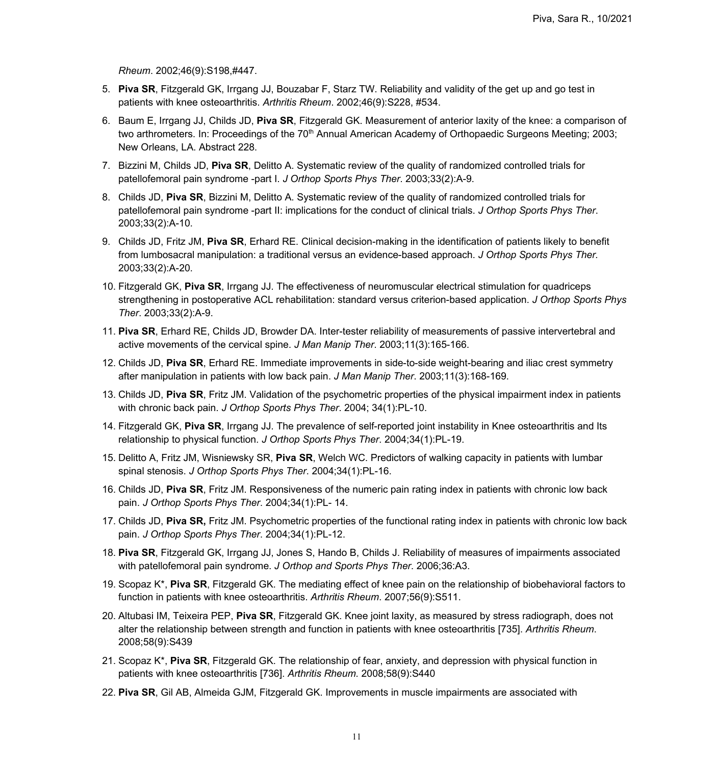*Rheum*. 2002;46(9):S198,#447.

- 5. **Piva SR**, Fitzgerald GK, Irrgang JJ, Bouzabar F, Starz TW. Reliability and validity of the get up and go test in patients with knee osteoarthritis. *Arthritis Rheum*. 2002;46(9):S228, #534.
- 6. Baum E, Irrgang JJ, Childs JD, **Piva SR**, Fitzgerald GK. Measurement of anterior laxity of the knee: a comparison of two arthrometers. In: Proceedings of the 70<sup>th</sup> Annual American Academy of Orthopaedic Surgeons Meeting; 2003; New Orleans, LA. Abstract 228.
- 7. Bizzini M, Childs JD, **Piva SR**, Delitto A. Systematic review of the quality of randomized controlled trials for patellofemoral pain syndrome -part I. *J Orthop Sports Phys Ther*. 2003;33(2):A-9.
- 8. Childs JD, **Piva SR**, Bizzini M, Delitto A. Systematic review of the quality of randomized controlled trials for patellofemoral pain syndrome -part II: implications for the conduct of clinical trials. *J Orthop Sports Phys Ther*. 2003;33(2):A-10.
- 9. Childs JD, Fritz JM, **Piva SR**, Erhard RE. Clinical decision-making in the identification of patients likely to benefit from lumbosacral manipulation: a traditional versus an evidence-based approach. *J Orthop Sports Phys Ther.* 2003;33(2):A-20.
- 10. Fitzgerald GK, **Piva SR**, Irrgang JJ. The effectiveness of neuromuscular electrical stimulation for quadriceps strengthening in postoperative ACL rehabilitation: standard versus criterion-based application. *J Orthop Sports Phys Ther*. 2003;33(2):A-9.
- 11. **Piva SR**, Erhard RE, Childs JD, Browder DA. Inter-tester reliability of measurements of passive intervertebral and active movements of the cervical spine. *J Man Manip Ther*. 2003;11(3):165-166.
- 12. Childs JD, **Piva SR**, Erhard RE. Immediate improvements in side-to-side weight-bearing and iliac crest symmetry after manipulation in patients with low back pain. *J Man Manip Ther*. 2003;11(3):168-169.
- 13. Childs JD, **Piva SR**, Fritz JM. Validation of the psychometric properties of the physical impairment index in patients with chronic back pain. *J Orthop Sports Phys Ther*. 2004; 34(1):PL-10.
- 14. Fitzgerald GK, **Piva SR**, Irrgang JJ. The prevalence of self-reported joint instability in Knee osteoarthritis and Its relationship to physical function. *J Orthop Sports Phys Ther*. 2004;34(1):PL-19.
- 15. Delitto A, Fritz JM, Wisniewsky SR, **Piva SR**, Welch WC. Predictors of walking capacity in patients with lumbar spinal stenosis. *J Orthop Sports Phys Ther*. 2004;34(1):PL-16.
- 16. Childs JD, **Piva SR**, Fritz JM. Responsiveness of the numeric pain rating index in patients with chronic low back pain. *J Orthop Sports Phys Ther*. 2004;34(1):PL- 14.
- 17. Childs JD, **Piva SR,** Fritz JM. Psychometric properties of the functional rating index in patients with chronic low back pain. *J Orthop Sports Phys Ther*. 2004;34(1):PL-12.
- 18. **Piva SR**, Fitzgerald GK, Irrgang JJ, Jones S, Hando B, Childs J. Reliability of measures of impairments associated with patellofemoral pain syndrome. *J Orthop and Sports Phys Ther*. 2006;36:A3.
- 19. Scopaz K\*, **Piva SR**, Fitzgerald GK. The mediating effect of knee pain on the relationship of biobehavioral factors to function in patients with knee osteoarthritis. *Arthritis Rheum*. 2007;56(9):S511.
- 20. Altubasi IM, Teixeira PEP, **Piva SR**, Fitzgerald GK. Knee joint laxity, as measured by stress radiograph, does not alter the relationship between strength and function in patients with knee osteoarthritis [735]. *Arthritis Rheum*. 2008;58(9):S439
- 21. Scopaz K\*, **Piva SR**, Fitzgerald GK. The relationship of fear, anxiety, and depression with physical function in patients with knee osteoarthritis [736]. *Arthritis Rheum.* 2008;58(9):S440
- 22. **Piva SR**, Gil AB, Almeida GJM, Fitzgerald GK. Improvements in muscle impairments are associated with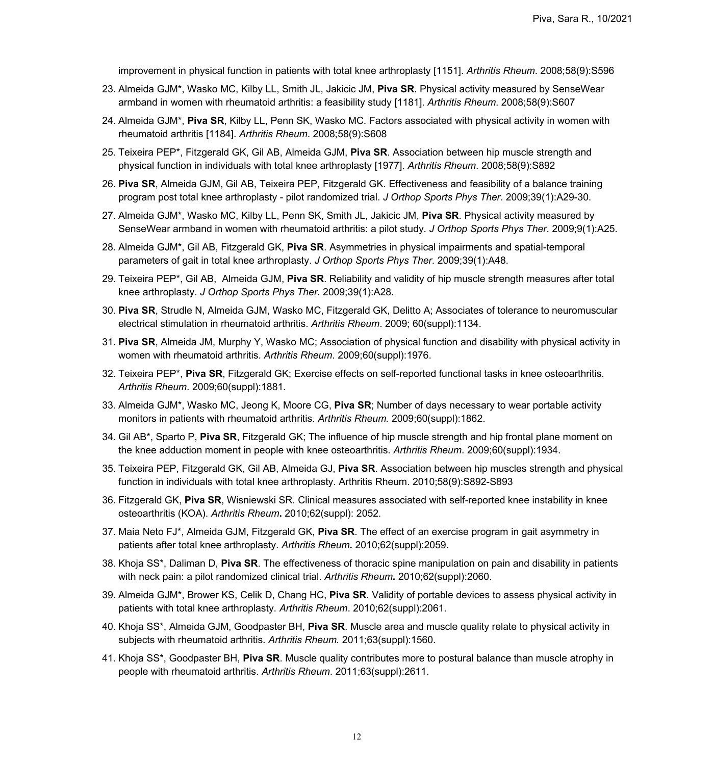improvement in physical function in patients with total knee arthroplasty [1151]. *Arthritis Rheum*. 2008;58(9):S596

- 23. Almeida GJM\*, Wasko MC, Kilby LL, Smith JL, Jakicic JM, **Piva SR**. Physical activity measured by SenseWear armband in women with rheumatoid arthritis: a feasibility study [1181]. *Arthritis Rheum*. 2008;58(9):S607
- 24. Almeida GJM\*, **Piva SR**, Kilby LL, Penn SK, Wasko MC. Factors associated with physical activity in women with rheumatoid arthritis [1184]. *Arthritis Rheum*. 2008;58(9):S608
- 25. Teixeira PEP\*, Fitzgerald GK, Gil AB, Almeida GJM, **Piva SR**. Association between hip muscle strength and physical function in individuals with total knee arthroplasty [1977]. *Arthritis Rheum*. 2008;58(9):S892
- 26. **Piva SR**, Almeida GJM, Gil AB, Teixeira PEP, Fitzgerald GK. Effectiveness and feasibility of a balance training program post total knee arthroplasty - pilot randomized trial. *J Orthop Sports Phys Ther*. 2009;39(1):A29-30.
- 27. Almeida GJM\*, Wasko MC, Kilby LL, Penn SK, Smith JL, Jakicic JM, **Piva SR**. Physical activity measured by SenseWear armband in women with rheumatoid arthritis: a pilot study. *J Orthop Sports Phys Ther*. 2009;9(1):A25.
- 28. Almeida GJM\*, Gil AB, Fitzgerald GK, **Piva SR**. Asymmetries in physical impairments and spatial-temporal parameters of gait in total knee arthroplasty. *J Orthop Sports Phys Ther*. 2009;39(1):A48.
- 29. Teixeira PEP\*, Gil AB, Almeida GJM, **Piva SR**. Reliability and validity of hip muscle strength measures after total knee arthroplasty. *J Orthop Sports Phys Ther*. 2009;39(1):A28.
- 30. **Piva SR**, Strudle N, Almeida GJM, Wasko MC, Fitzgerald GK, Delitto A; Associates of tolerance to neuromuscular electrical stimulation in rheumatoid arthritis. *Arthritis Rheum*. 2009; 60(suppl):1134.
- 31. **Piva SR**, Almeida JM, Murphy Y, Wasko MC; Association of physical function and disability with physical activity in women with rheumatoid arthritis. *Arthritis Rheum*. 2009;60(suppl):1976.
- 32. Teixeira PEP\*, **Piva SR**, Fitzgerald GK; Exercise effects on self-reported functional tasks in knee osteoarthritis. *Arthritis Rheum*. 2009;60(suppl):1881.
- 33. Almeida GJM\*, Wasko MC, Jeong K, Moore CG, **Piva SR**; Number of days necessary to wear portable activity monitors in patients with rheumatoid arthritis. *Arthritis Rheum.* 2009;60(suppl):1862.
- 34. Gil AB\*, Sparto P, **Piva SR**, Fitzgerald GK; The influence of hip muscle strength and hip frontal plane moment on the knee adduction moment in people with knee osteoarthritis. *Arthritis Rheum*. 2009;60(suppl):1934.
- 35. Teixeira PEP, Fitzgerald GK, Gil AB, Almeida GJ, **Piva SR**. Association between hip muscles strength and physical function in individuals with total knee arthroplasty. Arthritis Rheum. 2010;58(9):S892-S893
- 36. Fitzgerald GK, **Piva SR**, Wisniewski SR. Clinical measures associated with self-reported knee instability in knee osteoarthritis (KOA). *Arthritis Rheum***.** 2010;62(suppl): 2052.
- 37. Maia Neto FJ\*, Almeida GJM, Fitzgerald GK, **Piva SR**. The effect of an exercise program in gait asymmetry in patients after total knee arthroplasty. *Arthritis Rheum.* 2010;62(suppl):2059.
- 38. Khoja SS\*, Daliman D, **Piva SR**. The effectiveness of thoracic spine manipulation on pain and disability in patients with neck pain: a pilot randomized clinical trial. *Arthritis Rheum***.** 2010;62(suppl):2060.
- 39. Almeida GJM\*, Brower KS, Celik D, Chang HC, **Piva SR**. Validity of portable devices to assess physical activity in patients with total knee arthroplasty. *Arthritis Rheum*. 2010;62(suppl):2061.
- 40. Khoja SS\*, Almeida GJM, Goodpaster BH, **Piva SR**. Muscle area and muscle quality relate to physical activity in subjects with rheumatoid arthritis. *Arthritis Rheum.* 2011;63(suppl):1560.
- 41. Khoja SS\*, Goodpaster BH, **Piva SR**. Muscle quality contributes more to postural balance than muscle atrophy in people with rheumatoid arthritis. *Arthritis Rheum*. 2011;63(suppl):2611.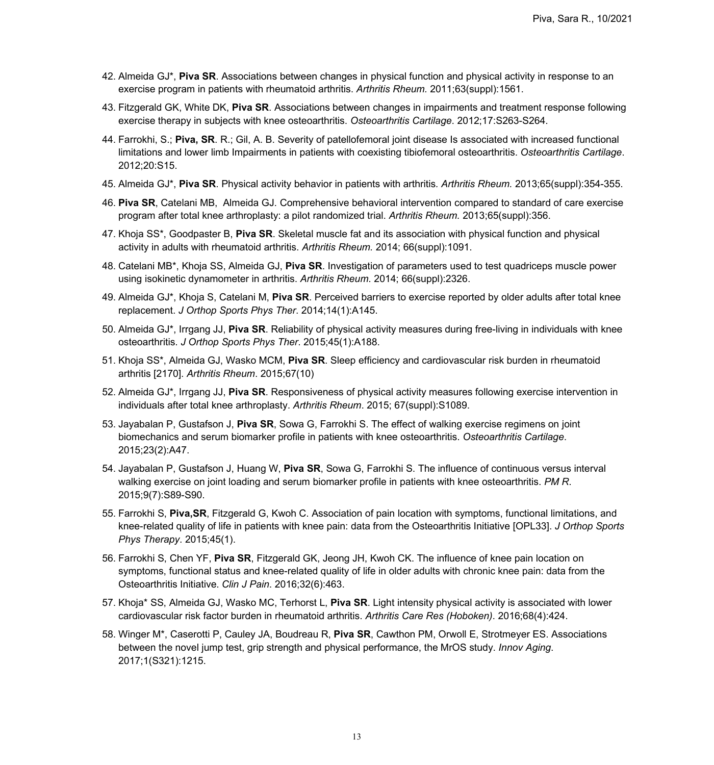- 42. Almeida GJ\*, **Piva SR**. Associations between changes in physical function and physical activity in response to an exercise program in patients with rheumatoid arthritis. *Arthritis Rheum.* 2011;63(suppl):1561.
- 43. Fitzgerald GK, White DK, **Piva SR**. Associations between changes in impairments and treatment response following exercise therapy in subjects with knee osteoarthritis. *Osteoarthritis Cartilage*. 2012;17:S263-S264.
- 44. Farrokhi, S.; **Piva, SR**. R.; Gil, A. B. Severity of patellofemoral joint disease Is associated with increased functional limitations and lower limb Impairments in patients with coexisting tibiofemoral osteoarthritis. *Osteoarthritis Cartilage*. 2012;20:S15.
- 45. Almeida GJ\*, **Piva SR**. Physical activity behavior in patients with arthritis*. Arthritis Rheum.* 2013;65(suppl):354-355.
- 46. **Piva SR**, Catelani MB, Almeida GJ. Comprehensive behavioral intervention compared to standard of care exercise program after total knee arthroplasty: a pilot randomized trial. *Arthritis Rheum.* 2013;65(suppl):356.
- 47. Khoja SS\*, Goodpaster B, **Piva SR**. Skeletal muscle fat and its association with physical function and physical activity in adults with rheumatoid arthritis. *Arthritis Rheum.* 2014; 66(suppl):1091.
- 48. Catelani MB\*, Khoja SS, Almeida GJ, **Piva SR**. Investigation of parameters used to test quadriceps muscle power using isokinetic dynamometer in arthritis. *Arthritis Rheum*. 2014; 66(suppl):2326.
- 49. Almeida GJ\*, Khoja S, Catelani M, **Piva SR**. Perceived barriers to exercise reported by older adults after total knee replacement. *J Orthop Sports Phys Ther*. 2014;14(1):A145.
- 50. Almeida GJ\*, Irrgang JJ, **Piva SR**. Reliability of physical activity measures during free-living in individuals with knee osteoarthritis. *J Orthop Sports Phys Ther*. 2015;45(1):A188.
- 51. Khoja SS\*, Almeida GJ, Wasko MCM, **Piva SR**. Sleep efficiency and cardiovascular risk burden in rheumatoid arthritis [2170]. *Arthritis Rheum*. 2015;67(10)
- 52. Almeida GJ\*, Irrgang JJ, **Piva SR**. Responsiveness of physical activity measures following exercise intervention in individuals after total knee arthroplasty. *Arthritis Rheum*. 2015; 67(suppl):S1089.
- 53. Jayabalan P, Gustafson J, **Piva SR**, Sowa G, Farrokhi S. The effect of walking exercise regimens on joint biomechanics and serum biomarker profile in patients with knee osteoarthritis. *Osteoarthritis Cartilage*. 2015;23(2):A47.
- 54. Jayabalan P, Gustafson J, Huang W, **Piva SR**, Sowa G, Farrokhi S. The influence of continuous versus interval walking exercise on joint loading and serum biomarker profile in patients with knee osteoarthritis. *PM R*. 2015;9(7):S89-S90.
- 55. Farrokhi S, **Piva,SR**, Fitzgerald G, Kwoh C. Association of pain location with symptoms, functional limitations, and knee-related quality of life in patients with knee pain: data from the Osteoarthritis Initiative [OPL33]. *J Orthop Sports Phys Therapy*. 2015;45(1).
- 56. Farrokhi S, Chen YF, **Piva SR**, Fitzgerald GK, Jeong JH, Kwoh CK. The influence of knee pain location on symptoms, functional status and knee-related quality of life in older adults with chronic knee pain: data from the Osteoarthritis Initiative. *Clin J Pain*. 2016;32(6):463.
- 57. Khoja\* SS, Almeida GJ, Wasko MC, Terhorst L, **Piva SR**. Light intensity physical activity is associated with lower cardiovascular risk factor burden in rheumatoid arthritis. *Arthritis Care Res (Hoboken)*. 2016;68(4):424.
- 58. Winger M\*, Caserotti P, Cauley JA, Boudreau R, **Piva SR**, Cawthon PM, Orwoll E, Strotmeyer ES. Associations between the novel jump test, grip strength and physical performance, the MrOS study. *Innov Aging*. 2017;1(S321):1215.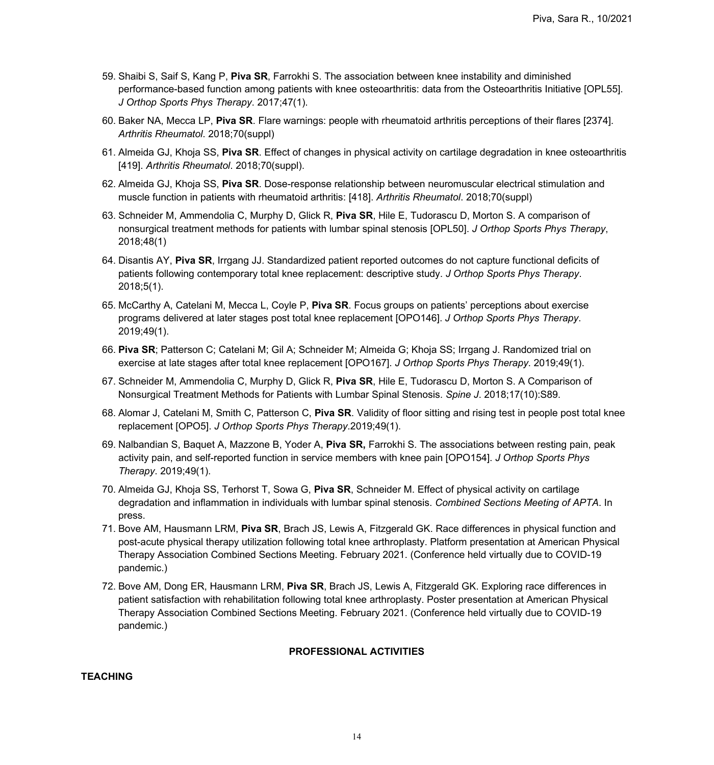- 59. Shaibi S, Saif S, Kang P, **Piva SR**, Farrokhi S. The association between knee instability and diminished performance-based function among patients with knee osteoarthritis: data from the Osteoarthritis Initiative [OPL55]. *J Orthop Sports Phys Therapy*. 2017;47(1).
- 60. Baker NA, Mecca LP, **Piva SR**. Flare warnings: people with rheumatoid arthritis perceptions of their flares [2374]. *Arthritis Rheumatol*. 2018;70(suppl)
- 61. Almeida GJ, Khoja SS, **Piva SR**. Effect of changes in physical activity on cartilage degradation in knee osteoarthritis [419]. *Arthritis Rheumatol*. 2018;70(suppl).
- 62. Almeida GJ, Khoja SS, **Piva SR**. Dose-response relationship between neuromuscular electrical stimulation and muscle function in patients with rheumatoid arthritis: [418]. *Arthritis Rheumatol*. 2018;70(suppl)
- 63. Schneider M, Ammendolia C, Murphy D, Glick R, **Piva SR**, Hile E, Tudorascu D, Morton S. A comparison of nonsurgical treatment methods for patients with lumbar spinal stenosis [OPL50]. *J Orthop Sports Phys Therapy*, 2018;48(1)
- 64. Disantis AY, **Piva SR**, Irrgang JJ. Standardized patient reported outcomes do not capture functional deficits of patients following contemporary total knee replacement: descriptive study. *J Orthop Sports Phys Therapy*. 2018;5(1).
- 65. McCarthy A, Catelani M, Mecca L, Coyle P, **Piva SR**. Focus groups on patients' perceptions about exercise programs delivered at later stages post total knee replacement [OPO146]. *J Orthop Sports Phys Therapy*. 2019;49(1).
- 66. **Piva SR**; Patterson C; Catelani M; Gil A; Schneider M; Almeida G; Khoja SS; Irrgang J. Randomized trial on exercise at late stages after total knee replacement [OPO167]. *J Orthop Sports Phys Therapy*. 2019;49(1).
- 67. Schneider M, Ammendolia C, Murphy D, Glick R, **Piva SR**, Hile E, Tudorascu D, Morton S. A Comparison of Nonsurgical Treatment Methods for Patients with Lumbar Spinal Stenosis. *Spine J*. 2018;17(10):S89.
- 68. Alomar J, Catelani M, Smith C, Patterson C, **Piva SR**. Validity of floor sitting and rising test in people post total knee replacement [OPO5]. *J Orthop Sports Phys Therapy*.2019;49(1).
- 69. Nalbandian S, Baquet A, Mazzone B, Yoder A, **Piva SR,** Farrokhi S. The associations between resting pain, peak activity pain, and self-reported function in service members with knee pain [OPO154]. *J Orthop Sports Phys Therapy*. 2019;49(1).
- 70. Almeida GJ, Khoja SS, Terhorst T, Sowa G, **Piva SR**, Schneider M. Effect of physical activity on cartilage degradation and inflammation in individuals with lumbar spinal stenosis. *Combined Sections Meeting of APTA*. In press.
- 71. Bove AM, Hausmann LRM, **Piva SR**, Brach JS, Lewis A, Fitzgerald GK. Race differences in physical function and post-acute physical therapy utilization following total knee arthroplasty. Platform presentation at American Physical Therapy Association Combined Sections Meeting. February 2021. (Conference held virtually due to COVID-19 pandemic.)
- 72. Bove AM, Dong ER, Hausmann LRM, **Piva SR**, Brach JS, Lewis A, Fitzgerald GK. Exploring race differences in patient satisfaction with rehabilitation following total knee arthroplasty. Poster presentation at American Physical Therapy Association Combined Sections Meeting. February 2021. (Conference held virtually due to COVID-19 pandemic.)

### **PROFESSIONAL ACTIVITIES**

### **TEACHING**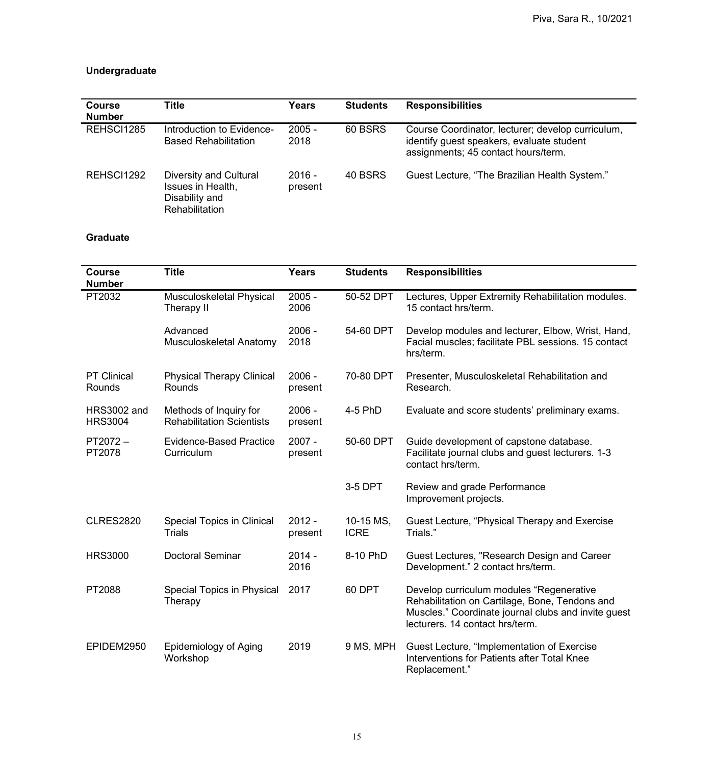# **Undergraduate**

| <b>Course</b><br><b>Number</b> | <b>Title</b>                                                                           | Years               | <b>Students</b> | <b>Responsibilities</b>                                                                                                               |
|--------------------------------|----------------------------------------------------------------------------------------|---------------------|-----------------|---------------------------------------------------------------------------------------------------------------------------------------|
| REHSCI1285                     | Introduction to Evidence-<br><b>Based Rehabilitation</b>                               | $2005 -$<br>2018    | 60 BSRS         | Course Coordinator, lecturer; develop curriculum,<br>identify guest speakers, evaluate student<br>assignments; 45 contact hours/term. |
| REHSCI1292                     | Diversity and Cultural<br>Issues in Health,<br>Disability and<br><b>Rehabilitation</b> | $2016 -$<br>present | 40 BSRS         | Guest Lecture, "The Brazilian Health System."                                                                                         |

# **Graduate**

| <b>Course</b><br><b>Number</b>       | <b>Title</b>                                               | <b>Years</b>        | <b>Students</b>          | <b>Responsibilities</b>                                                                                                                                                              |
|--------------------------------------|------------------------------------------------------------|---------------------|--------------------------|--------------------------------------------------------------------------------------------------------------------------------------------------------------------------------------|
| PT2032                               | <b>Musculoskeletal Physical</b><br>Therapy II              | $2005 -$<br>2006    | 50-52 DPT                | Lectures, Upper Extremity Rehabilitation modules.<br>15 contact hrs/term.                                                                                                            |
|                                      | Advanced<br>Musculoskeletal Anatomy                        | $2006 -$<br>2018    | 54-60 DPT                | Develop modules and lecturer, Elbow, Wrist, Hand,<br>Facial muscles; facilitate PBL sessions. 15 contact<br>hrs/term.                                                                |
| <b>PT Clinical</b><br>Rounds         | <b>Physical Therapy Clinical</b><br>Rounds                 | $2006 -$<br>present | 70-80 DPT                | Presenter, Musculoskeletal Rehabilitation and<br>Research.                                                                                                                           |
| <b>HRS3002 and</b><br><b>HRS3004</b> | Methods of Inquiry for<br><b>Rehabilitation Scientists</b> | 2006 -<br>present   | 4-5 PhD                  | Evaluate and score students' preliminary exams.                                                                                                                                      |
| PT2072-<br>PT2078                    | <b>Evidence-Based Practice</b><br>Curriculum               | $2007 -$<br>present | 50-60 DPT                | Guide development of capstone database.<br>Facilitate journal clubs and guest lecturers. 1-3<br>contact hrs/term.                                                                    |
|                                      |                                                            |                     | 3-5 DPT                  | Review and grade Performance<br>Improvement projects.                                                                                                                                |
| <b>CLRES2820</b>                     | <b>Special Topics in Clinical</b><br><b>Trials</b>         | $2012 -$<br>present | 10-15 MS,<br><b>ICRE</b> | Guest Lecture, "Physical Therapy and Exercise<br>Trials."                                                                                                                            |
| <b>HRS3000</b>                       | <b>Doctoral Seminar</b>                                    | $2014 -$<br>2016    | 8-10 PhD                 | Guest Lectures, "Research Design and Career<br>Development." 2 contact hrs/term.                                                                                                     |
| PT2088                               | Special Topics in Physical<br>Therapy                      | 2017                | 60 DPT                   | Develop curriculum modules "Regenerative<br>Rehabilitation on Cartilage, Bone, Tendons and<br>Muscles." Coordinate journal clubs and invite guest<br>lecturers. 14 contact hrs/term. |
| EPIDEM2950                           | <b>Epidemiology of Aging</b><br>Workshop                   | 2019                | 9 MS, MPH                | Guest Lecture, "Implementation of Exercise<br>Interventions for Patients after Total Knee<br>Replacement."                                                                           |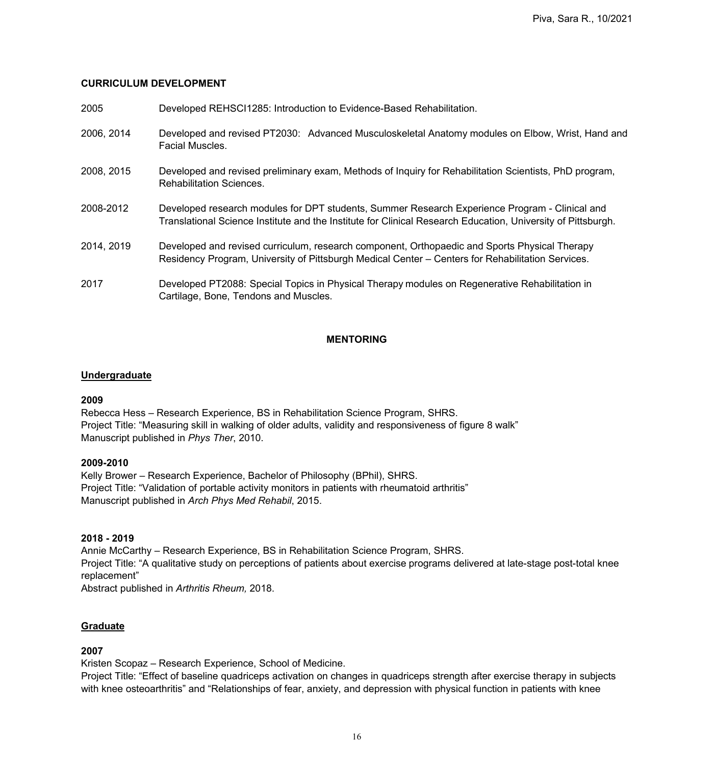### **CURRICULUM DEVELOPMENT**

| 2005       | Developed REHSCI1285: Introduction to Evidence-Based Rehabilitation.                                                                                                                                           |
|------------|----------------------------------------------------------------------------------------------------------------------------------------------------------------------------------------------------------------|
| 2006, 2014 | Developed and revised PT2030: Advanced Musculoskeletal Anatomy modules on Elbow, Wrist, Hand and<br><b>Facial Muscles.</b>                                                                                     |
| 2008, 2015 | Developed and revised preliminary exam, Methods of Inquiry for Rehabilitation Scientists, PhD program,<br><b>Rehabilitation Sciences.</b>                                                                      |
| 2008-2012  | Developed research modules for DPT students, Summer Research Experience Program - Clinical and<br>Translational Science Institute and the Institute for Clinical Research Education, University of Pittsburgh. |
| 2014, 2019 | Developed and revised curriculum, research component, Orthopaedic and Sports Physical Therapy<br>Residency Program, University of Pittsburgh Medical Center – Centers for Rehabilitation Services.             |
| 2017       | Developed PT2088: Special Topics in Physical Therapy modules on Regenerative Rehabilitation in<br>Cartilage, Bone, Tendons and Muscles.                                                                        |

## **MENTORING**

### **Undergraduate**

### **2009**

Rebecca Hess – Research Experience, BS in Rehabilitation Science Program, SHRS. Project Title: "Measuring skill in walking of older adults, validity and responsiveness of figure 8 walk" Manuscript published in *Phys Ther*, 2010.

### **2009-2010**

Kelly Brower – Research Experience, Bachelor of Philosophy (BPhil), SHRS. Project Title: "Validation of portable activity monitors in patients with rheumatoid arthritis" Manuscript published in *Arch Phys Med Rehabil*, 2015.

### **2018 - 2019**

Annie McCarthy – Research Experience, BS in Rehabilitation Science Program, SHRS. Project Title: "A qualitative study on perceptions of patients about exercise programs delivered at late-stage post-total knee replacement"

Abstract published in *Arthritis Rheum,* 2018.

### **Graduate**

### **2007**

Kristen Scopaz – Research Experience, School of Medicine.

Project Title: "Effect of baseline quadriceps activation on changes in quadriceps strength after exercise therapy in subjects with knee osteoarthritis" and "Relationships of fear, anxiety, and depression with physical function in patients with knee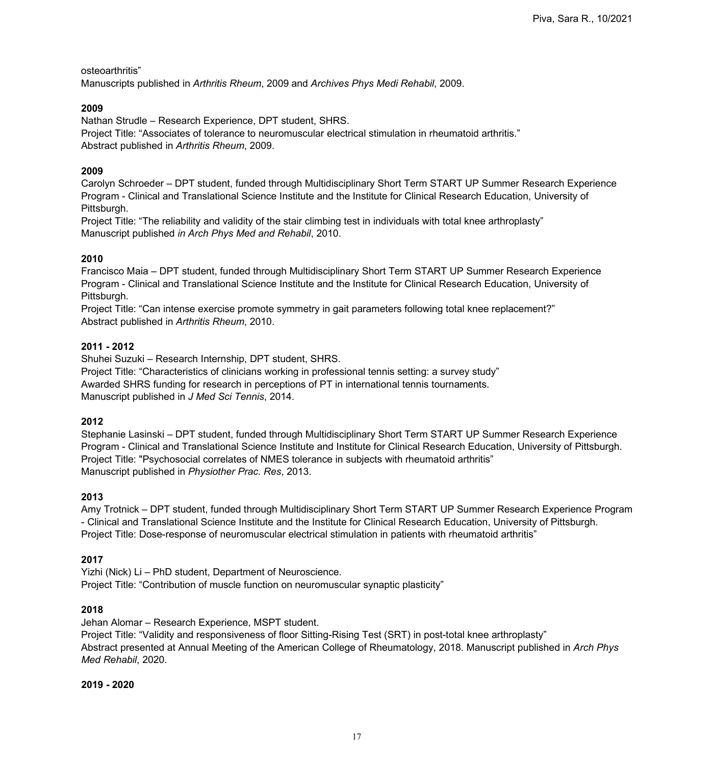osteoarthritis"

Manuscripts published in *Arthritis Rheum*, 2009 and *Archives Phys Medi Rehabil*, 2009.

### **2009**

Nathan Strudle – Research Experience, DPT student, SHRS.

Project Title: "Associates of tolerance to neuromuscular electrical stimulation in rheumatoid arthritis." Abstract published in *Arthritis Rheum*, 2009.

## **2009**

Carolyn Schroeder – DPT student, funded through Multidisciplinary Short Term START UP Summer Research Experience Program - Clinical and Translational Science Institute and the Institute for Clinical Research Education, University of Pittsburgh.

Project Title: "The reliability and validity of the stair climbing test in individuals with total knee arthroplasty" Manuscript published *in Arch Phys Med and Rehabil*, 2010.

## **2010**

Francisco Maia – DPT student, funded through Multidisciplinary Short Term START UP Summer Research Experience Program - Clinical and Translational Science Institute and the Institute for Clinical Research Education, University of Pittsburgh.

Project Title: "Can intense exercise promote symmetry in gait parameters following total knee replacement?" Abstract published in *Arthritis Rheum*, 2010.

### **2011 - 2012**

Shuhei Suzuki – Research Internship, DPT student, SHRS.

Project Title: "Characteristics of clinicians working in professional tennis setting: a survey study" Awarded SHRS funding for research in perceptions of PT in international tennis tournaments. Manuscript published in *J Med Sci Tennis*, 2014.

## **2012**

Stephanie Lasinski – DPT student, funded through Multidisciplinary Short Term START UP Summer Research Experience Program - Clinical and Translational Science Institute and Institute for Clinical Research Education, University of Pittsburgh. Project Title: "Psychosocial correlates of NMES tolerance in subjects with rheumatoid arthritis" Manuscript published in *Physiother Prac. Res*, 2013.

## **2013**

Amy Trotnick – DPT student, funded through Multidisciplinary Short Term START UP Summer Research Experience Program - Clinical and Translational Science Institute and the Institute for Clinical Research Education, University of Pittsburgh. Project Title: Dose-response of neuromuscular electrical stimulation in patients with rheumatoid arthritis"

## **2017**

Yizhi (Nick) Li – PhD student, Department of Neuroscience. Project Title: "Contribution of muscle function on neuromuscular synaptic plasticity"

## **2018**

Jehan Alomar – Research Experience, MSPT student.

Project Title: "Validity and responsiveness of floor Sitting-Rising Test (SRT) in post-total knee arthroplasty" Abstract presented at Annual Meeting of the American College of Rheumatology, 2018. Manuscript published in *Arch Phys Med Rehabil*, 2020.

**2019 - 2020**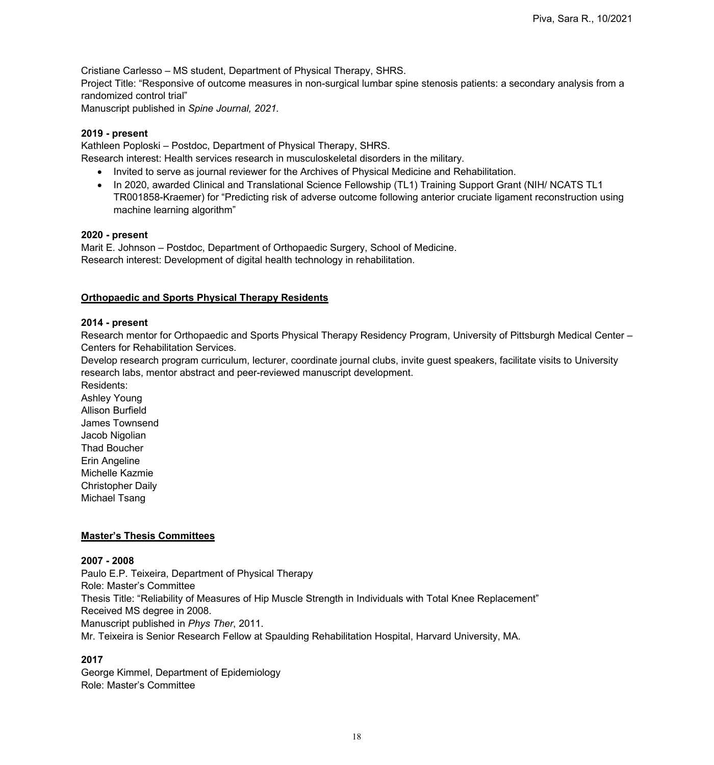Cristiane Carlesso – MS student, Department of Physical Therapy, SHRS. Project Title: "Responsive of outcome measures in non-surgical lumbar spine stenosis patients: a secondary analysis from a randomized control trial" Manuscript published in *Spine Journal, 2021.*

### **2019 - present**

Kathleen Poploski – Postdoc, Department of Physical Therapy, SHRS.

Research interest: Health services research in musculoskeletal disorders in the military.

- Invited to serve as journal reviewer for the Archives of Physical Medicine and Rehabilitation.
- In 2020, awarded Clinical and Translational Science Fellowship (TL1) Training Support Grant (NIH/ NCATS TL1 TR001858-Kraemer) for "Predicting risk of adverse outcome following anterior cruciate ligament reconstruction using machine learning algorithm"

#### **2020 - present**

Marit E. Johnson – Postdoc, Department of Orthopaedic Surgery, School of Medicine. Research interest: Development of digital health technology in rehabilitation.

### **Orthopaedic and Sports Physical Therapy Residents**

#### **2014 - present**

Research mentor for Orthopaedic and Sports Physical Therapy Residency Program, University of Pittsburgh Medical Center – Centers for Rehabilitation Services.

Develop research program curriculum, lecturer, coordinate journal clubs, invite guest speakers, facilitate visits to University research labs, mentor abstract and peer-reviewed manuscript development.

Residents: Ashley Young Allison Burfield James Townsend Jacob Nigolian Thad Boucher Erin Angeline Michelle Kazmie Christopher Daily Michael Tsang

### **Master's Thesis Committees**

### **2007 - 2008**

Paulo E.P. Teixeira, Department of Physical Therapy Role: Master's Committee Thesis Title: "Reliability of Measures of Hip Muscle Strength in Individuals with Total Knee Replacement" Received MS degree in 2008. Manuscript published in *Phys Ther*, 2011. Mr. Teixeira is Senior Research Fellow at Spaulding Rehabilitation Hospital, Harvard University, MA.

### **2017**

George Kimmel, Department of Epidemiology Role: Master's Committee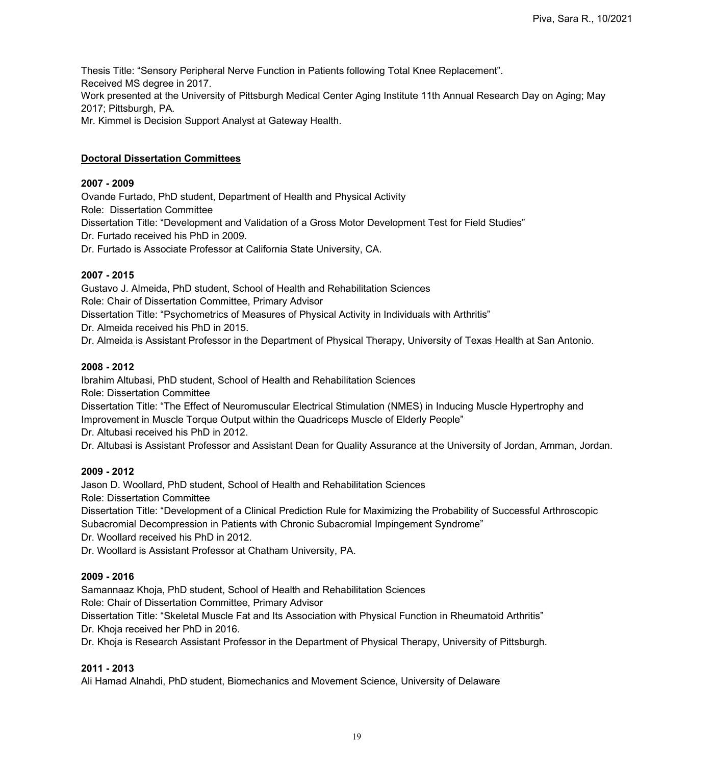Thesis Title: "Sensory Peripheral Nerve Function in Patients following Total Knee Replacement". Received MS degree in 2017. Work presented at the University of Pittsburgh Medical Center Aging Institute 11th Annual Research Day on Aging; May 2017; Pittsburgh, PA. Mr. Kimmel is Decision Support Analyst at Gateway Health.

### **Doctoral Dissertation Committees**

#### **2007 - 2009**

Ovande Furtado, PhD student, Department of Health and Physical Activity Role: Dissertation Committee Dissertation Title: "Development and Validation of a Gross Motor Development Test for Field Studies" Dr. Furtado received his PhD in 2009. Dr. Furtado is Associate Professor at California State University, CA.

### **2007 - 2015**

Gustavo J. Almeida, PhD student, School of Health and Rehabilitation Sciences Role: Chair of Dissertation Committee, Primary Advisor Dissertation Title: "Psychometrics of Measures of Physical Activity in Individuals with Arthritis" Dr. Almeida received his PhD in 2015. Dr. Almeida is Assistant Professor in the Department of Physical Therapy, University of Texas Health at San Antonio.

#### **2008 - 2012**

Ibrahim Altubasi, PhD student, School of Health and Rehabilitation Sciences

Role: Dissertation Committee

Dissertation Title: "The Effect of Neuromuscular Electrical Stimulation (NMES) in Inducing Muscle Hypertrophy and Improvement in Muscle Torque Output within the Quadriceps Muscle of Elderly People"

Dr. Altubasi received his PhD in 2012.

Dr. Altubasi is Assistant Professor and Assistant Dean for Quality Assurance at the University of Jordan, Amman, Jordan.

### **2009 - 2012**

Jason D. Woollard, PhD student, School of Health and Rehabilitation Sciences

Role: Dissertation Committee

Dissertation Title: "Development of a Clinical Prediction Rule for Maximizing the Probability of Successful Arthroscopic Subacromial Decompression in Patients with Chronic Subacromial Impingement Syndrome"

Dr. Woollard received his PhD in 2012.

Dr. Woollard is Assistant Professor at Chatham University, PA.

### **2009 - 2016**

Samannaaz Khoja, PhD student, School of Health and Rehabilitation Sciences

Role: Chair of Dissertation Committee, Primary Advisor

Dissertation Title: "Skeletal Muscle Fat and Its Association with Physical Function in Rheumatoid Arthritis"

Dr. Khoja received her PhD in 2016.

Dr. Khoja is Research Assistant Professor in the Department of Physical Therapy, University of Pittsburgh.

### **2011 - 2013**

Ali Hamad Alnahdi, PhD student, Biomechanics and Movement Science, University of Delaware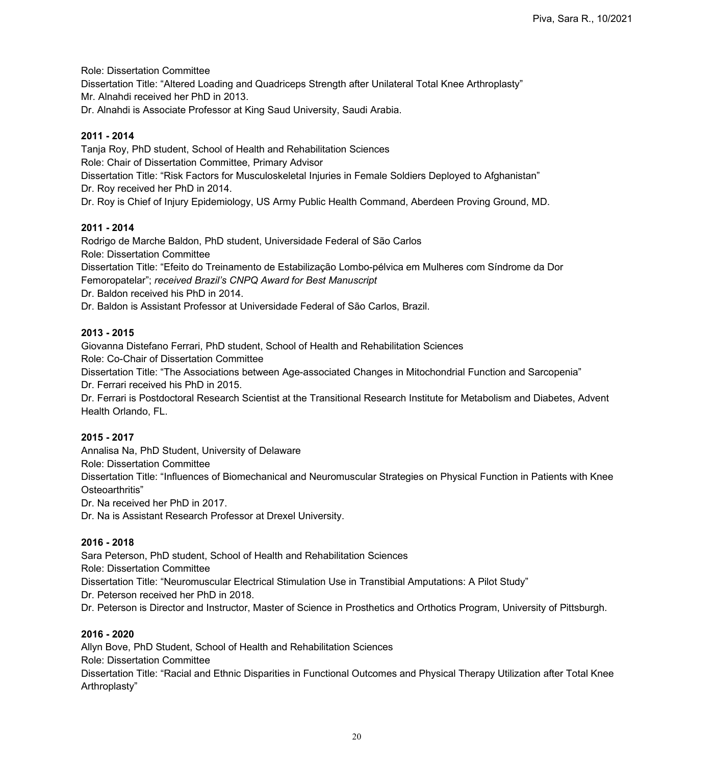Role: Dissertation Committee

Dissertation Title: "Altered Loading and Quadriceps Strength after Unilateral Total Knee Arthroplasty"

Mr. Alnahdi received her PhD in 2013.

Dr. Alnahdi is Associate Professor at King Saud University, Saudi Arabia.

### **2011 - 2014**

Tanja Roy, PhD student, School of Health and Rehabilitation Sciences Role: Chair of Dissertation Committee, Primary Advisor Dissertation Title: "Risk Factors for Musculoskeletal Injuries in Female Soldiers Deployed to Afghanistan" Dr. Roy received her PhD in 2014. Dr. Roy is Chief of Injury Epidemiology, US Army Public Health Command, Aberdeen Proving Ground, MD.

### **2011 - 2014**

Rodrigo de Marche Baldon, PhD student, Universidade Federal of São Carlos Role: Dissertation Committee Dissertation Title: "Efeito do Treinamento de Estabilização Lombo-pélvica em Mulheres com Síndrome da Dor

Femoropatelar"; *received Brazil's CNPQ Award for Best Manuscript*

Dr. Baldon received his PhD in 2014.

Dr. Baldon is Assistant Professor at Universidade Federal of São Carlos, Brazil.

### **2013 - 2015**

Giovanna Distefano Ferrari, PhD student, School of Health and Rehabilitation Sciences

Role: Co-Chair of Dissertation Committee

Dissertation Title: "The Associations between Age-associated Changes in Mitochondrial Function and Sarcopenia"

Dr. Ferrari received his PhD in 2015.

Dr. Ferrari is Postdoctoral Research Scientist at the Transitional Research Institute for Metabolism and Diabetes, Advent Health Orlando, FL.

### **2015 - 2017**

Annalisa Na, PhD Student, University of Delaware

Role: Dissertation Committee

Dissertation Title: "Influences of Biomechanical and Neuromuscular Strategies on Physical Function in Patients with Knee Osteoarthritis"

Dr. Na received her PhD in 2017.

Dr. Na is Assistant Research Professor at Drexel University.

### **2016 - 2018**

Sara Peterson, PhD student, School of Health and Rehabilitation Sciences

Role: Dissertation Committee

Dissertation Title: "Neuromuscular Electrical Stimulation Use in Transtibial Amputations: A Pilot Study"

Dr. Peterson received her PhD in 2018.

Dr. Peterson is Director and Instructor, Master of Science in Prosthetics and Orthotics Program, University of Pittsburgh.

### **2016 - 2020**

Allyn Bove, PhD Student, School of Health and Rehabilitation Sciences Role: Dissertation Committee Dissertation Title: "Racial and Ethnic Disparities in Functional Outcomes and Physical Therapy Utilization after Total Knee Arthroplasty"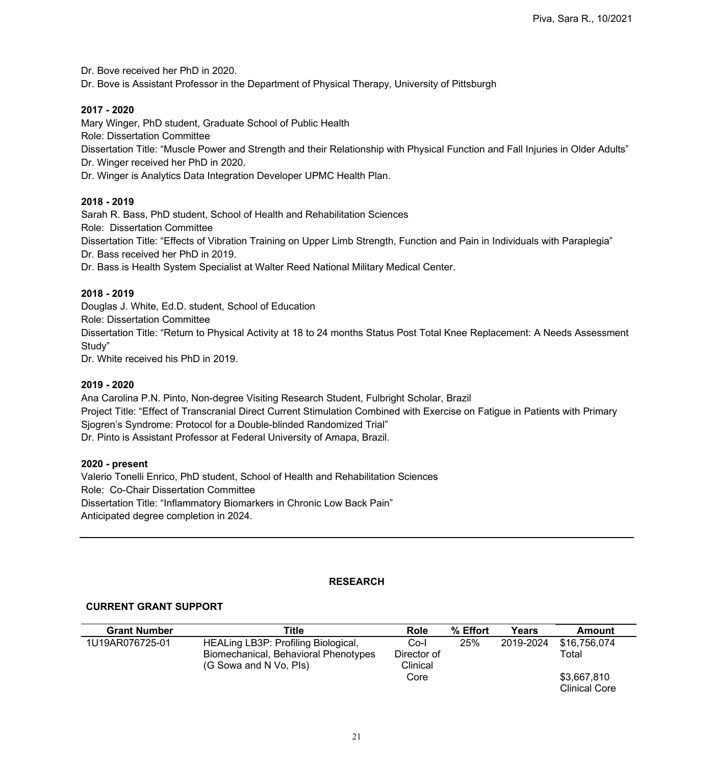Dr. Bove received her PhD in 2020.

Dr. Bove is Assistant Professor in the Department of Physical Therapy, University of Pittsburgh

### **2017 - 2020**

Mary Winger, PhD student, Graduate School of Public Health

Role: Dissertation Committee

Dissertation Title: "Muscle Power and Strength and their Relationship with Physical Function and Fall Injuries in Older Adults"

Dr. Winger received her PhD in 2020.

Dr. Winger is Analytics Data Integration Developer UPMC Health Plan.

### **2018 - 2019**

Sarah R. Bass, PhD student, School of Health and Rehabilitation Sciences Role: Dissertation Committee Dissertation Title: "Effects of Vibration Training on Upper Limb Strength, Function and Pain in Individuals with Paraplegia" Dr. Bass received her PhD in 2019.

Dr. Bass is Health System Specialist at Walter Reed National Military Medical Center.

### **2018 - 2019**

Douglas J. White, Ed.D. student, School of Education Role: Dissertation Committee Dissertation Title: "Return to Physical Activity at 18 to 24 months Status Post Total Knee Replacement: A Needs Assessment Study"

Dr. White received his PhD in 2019.

### **2019 - 2020**

Ana Carolina P.N. Pinto, Non-degree Visiting Research Student, Fulbright Scholar, Brazil Project Title: "Effect of Transcranial Direct Current Stimulation Combined with Exercise on Fatigue in Patients with Primary Sjogren's Syndrome: Protocol for a Double-blinded Randomized Trial" Dr. Pinto is Assistant Professor at Federal University of Amapa, Brazil.

### **2020 - present**

Valerio Tonelli Enrico, PhD student, School of Health and Rehabilitation Sciences Role: Co-Chair Dissertation Committee Dissertation Title: "Inflammatory Biomarkers in Chronic Low Back Pain" Anticipated degree completion in 2024.

## **RESEARCH**

## **CURRENT GRANT SUPPORT**

| <b>Grant Number</b> | Title                                                                                                 | <b>Role</b>                     | % Effort | Years     | Amount                              |
|---------------------|-------------------------------------------------------------------------------------------------------|---------------------------------|----------|-----------|-------------------------------------|
| 1U19AR076725-01     | HEALing LB3P: Profiling Biological,<br>Biomechanical, Behavioral Phenotypes<br>(G Sowa and N Vo, Pls) | Co-l<br>Director of<br>Clinical | 25%      | 2019-2024 | \$16,756,074<br>Total               |
|                     |                                                                                                       | Core                            |          |           | \$3,667,810<br><b>Clinical Core</b> |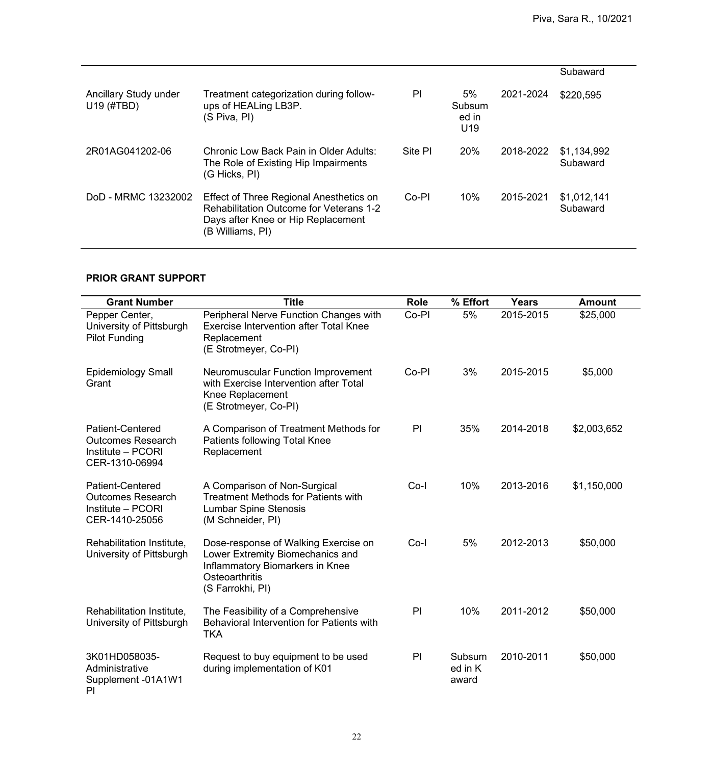|                                     |                                                                                                                                                     |         |                                          |           | Subaward                |
|-------------------------------------|-----------------------------------------------------------------------------------------------------------------------------------------------------|---------|------------------------------------------|-----------|-------------------------|
| Ancillary Study under<br>U19 (#TBD) | Treatment categorization during follow-<br>ups of HEALing LB3P.<br>(S Piva, PI)                                                                     | PI      | 5%<br>Subsum<br>ed in<br>U <sub>19</sub> | 2021-2024 | \$220,595               |
| 2R01AG041202-06                     | Chronic Low Back Pain in Older Adults:<br>The Role of Existing Hip Impairments<br>(G Hicks, PI)                                                     | Site PI | 20%                                      | 2018-2022 | \$1,134,992<br>Subaward |
| DoD - MRMC 13232002                 | Effect of Three Regional Anesthetics on<br><b>Rehabilitation Outcome for Veterans 1-2</b><br>Days after Knee or Hip Replacement<br>(B Williams, PI) | Co-PI   | 10%                                      | 2015-2021 | \$1,012,141<br>Subaward |

# **PRIOR GRANT SUPPORT**

| <b>Grant Number</b>                                                                        | <b>Title</b>                                                                                                                                      | <b>Role</b> | % Effort                   | <b>Years</b> | <b>Amount</b> |
|--------------------------------------------------------------------------------------------|---------------------------------------------------------------------------------------------------------------------------------------------------|-------------|----------------------------|--------------|---------------|
| Pepper Center,<br>University of Pittsburgh<br><b>Pilot Funding</b>                         | Peripheral Nerve Function Changes with<br><b>Exercise Intervention after Total Knee</b><br>Replacement<br>(E Strotmeyer, Co-PI)                   | Co-PI       | 5%                         | 2015-2015    | \$25,000      |
| <b>Epidemiology Small</b><br>Grant                                                         | <b>Neuromuscular Function Improvement</b><br>with Exercise Intervention after Total<br>Knee Replacement<br>(E Strotmeyer, Co-PI)                  | Co-PI       | 3%                         | 2015-2015    | \$5,000       |
| <b>Patient-Centered</b><br><b>Outcomes Research</b><br>Institute - PCORI<br>CER-1310-06994 | A Comparison of Treatment Methods for<br>Patients following Total Knee<br>Replacement                                                             | PI          | 35%                        | 2014-2018    | \$2,003,652   |
| <b>Patient-Centered</b><br><b>Outcomes Research</b><br>Institute - PCORI<br>CER-1410-25056 | A Comparison of Non-Surgical<br><b>Treatment Methods for Patients with</b><br><b>Lumbar Spine Stenosis</b><br>(M Schneider, PI)                   | $Co-I$      | 10%                        | 2013-2016    | \$1,150,000   |
| Rehabilitation Institute,<br>University of Pittsburgh                                      | Dose-response of Walking Exercise on<br>Lower Extremity Biomechanics and<br>Inflammatory Biomarkers in Knee<br>Osteoarthritis<br>(S Farrokhi, PI) | $Co-I$      | 5%                         | 2012-2013    | \$50,000      |
| Rehabilitation Institute,<br>University of Pittsburgh                                      | The Feasibility of a Comprehensive<br>Behavioral Intervention for Patients with<br><b>TKA</b>                                                     | PI          | 10%                        | 2011-2012    | \$50,000      |
| 3K01HD058035-<br>Administrative<br>Supplement -01A1W1<br>PI                                | Request to buy equipment to be used<br>during implementation of K01                                                                               | PI          | Subsum<br>ed in K<br>award | 2010-2011    | \$50,000      |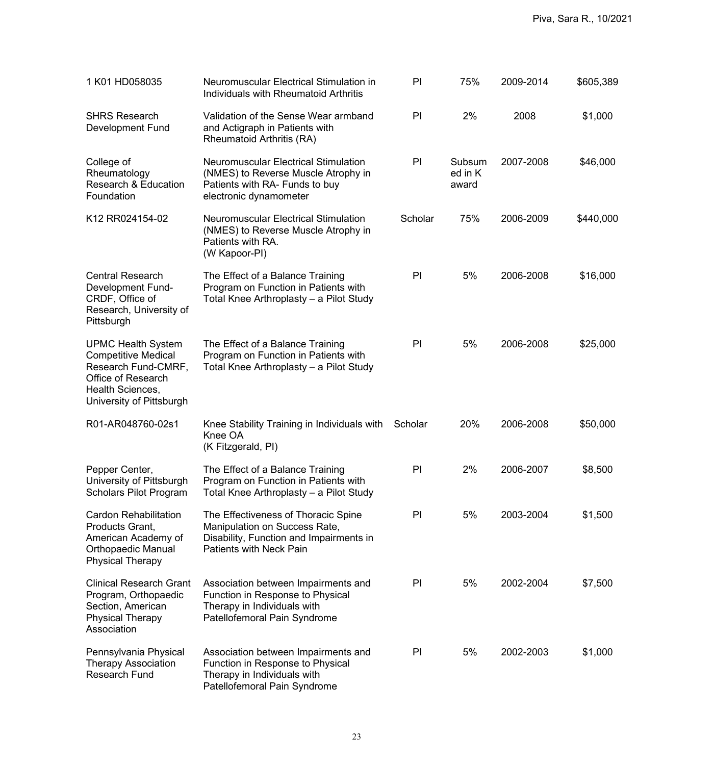| 1 K01 HD058035                                                                                                                                       | Neuromuscular Electrical Stimulation in<br>Individuals with Rheumatoid Arthritis                                                                  | PI      | 75%                        | 2009-2014 | \$605,389 |
|------------------------------------------------------------------------------------------------------------------------------------------------------|---------------------------------------------------------------------------------------------------------------------------------------------------|---------|----------------------------|-----------|-----------|
| <b>SHRS Research</b><br><b>Development Fund</b>                                                                                                      | Validation of the Sense Wear armband<br>and Actigraph in Patients with<br>Rheumatoid Arthritis (RA)                                               | PI      | 2%                         | 2008      | \$1,000   |
| College of<br>Rheumatology<br><b>Research &amp; Education</b><br>Foundation                                                                          | <b>Neuromuscular Electrical Stimulation</b><br>(NMES) to Reverse Muscle Atrophy in<br>Patients with RA- Funds to buy<br>electronic dynamometer    | PI      | Subsum<br>ed in K<br>award | 2007-2008 | \$46,000  |
| K12 RR024154-02                                                                                                                                      | <b>Neuromuscular Electrical Stimulation</b><br>(NMES) to Reverse Muscle Atrophy in<br>Patients with RA.<br>(W Kapoor-PI)                          | Scholar | 75%                        | 2006-2009 | \$440,000 |
| <b>Central Research</b><br><b>Development Fund-</b><br>CRDF, Office of<br>Research, University of<br>Pittsburgh                                      | The Effect of a Balance Training<br>Program on Function in Patients with<br>Total Knee Arthroplasty - a Pilot Study                               | PI      | 5%                         | 2006-2008 | \$16,000  |
| <b>UPMC Health System</b><br><b>Competitive Medical</b><br>Research Fund-CMRF,<br>Office of Research<br>Health Sciences,<br>University of Pittsburgh | The Effect of a Balance Training<br>Program on Function in Patients with<br>Total Knee Arthroplasty - a Pilot Study                               | PI      | 5%                         | 2006-2008 | \$25,000  |
| R01-AR048760-02s1                                                                                                                                    | Knee Stability Training in Individuals with<br>Knee OA<br>(K Fitzgerald, PI)                                                                      | Scholar | 20%                        | 2006-2008 | \$50,000  |
| Pepper Center,<br>University of Pittsburgh<br><b>Scholars Pilot Program</b>                                                                          | The Effect of a Balance Training<br>Program on Function in Patients with<br>Total Knee Arthroplasty – a Pilot Study                               | P       | 2%                         | 2006-2007 | \$8,500   |
| <b>Cardon Rehabilitation</b><br>Products Grant,<br>American Academy of<br><b>Orthopaedic Manual</b><br><b>Physical Therapy</b>                       | The Effectiveness of Thoracic Spine<br>Manipulation on Success Rate,<br>Disability, Function and Impairments in<br><b>Patients with Neck Pain</b> | PI      | 5%                         | 2003-2004 | \$1,500   |
| <b>Clinical Research Grant</b><br>Program, Orthopaedic<br>Section, American<br><b>Physical Therapy</b><br>Association                                | Association between Impairments and<br>Function in Response to Physical<br>Therapy in Individuals with<br>Patellofemoral Pain Syndrome            | PI      | 5%                         | 2002-2004 | \$7,500   |
| Pennsylvania Physical<br><b>Therapy Association</b><br><b>Research Fund</b>                                                                          | Association between Impairments and<br>Function in Response to Physical<br>Therapy in Individuals with<br>Patellofemoral Pain Syndrome            | PI      | 5%                         | 2002-2003 | \$1,000   |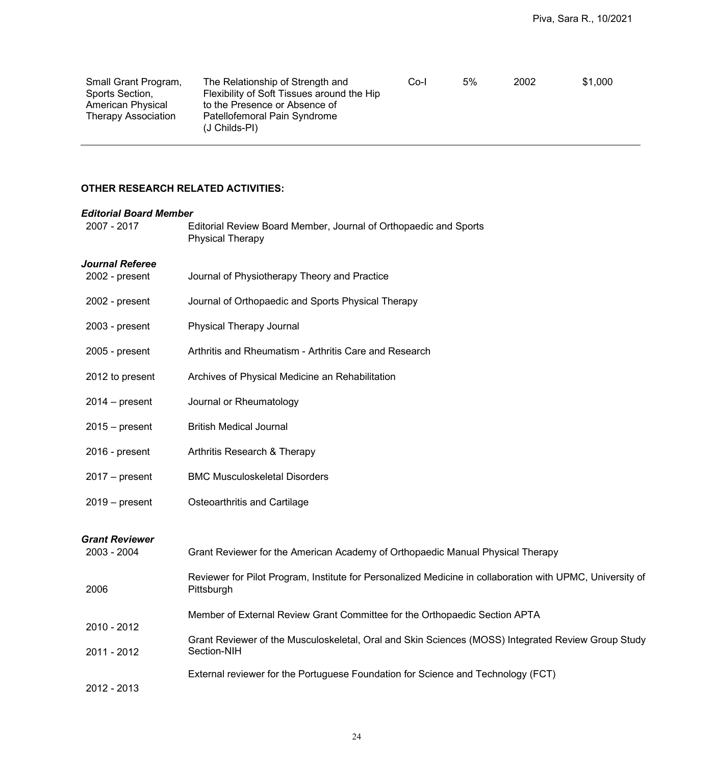| Small Grant Program, | The Relationship of Strength and              | Co-l | 5% | 2002 | \$1,000 |
|----------------------|-----------------------------------------------|------|----|------|---------|
| Sports Section,      | Flexibility of Soft Tissues around the Hip    |      |    |      |         |
| American Physical    | to the Presence or Absence of                 |      |    |      |         |
| Therapy Association  | Patellofemoral Pain Syndrome<br>(J Childs-PI) |      |    |      |         |

## **OTHER RESEARCH RELATED ACTIVITIES:**

| <b>Editorial Board Member</b>        |                                                                                                                         |
|--------------------------------------|-------------------------------------------------------------------------------------------------------------------------|
| 2007 - 2017                          | Editorial Review Board Member, Journal of Orthopaedic and Sports<br><b>Physical Therapy</b>                             |
| <b>Journal Referee</b>               |                                                                                                                         |
| 2002 - present                       | Journal of Physiotherapy Theory and Practice                                                                            |
| 2002 - present                       | Journal of Orthopaedic and Sports Physical Therapy                                                                      |
| $2003$ - present                     | <b>Physical Therapy Journal</b>                                                                                         |
| $2005$ - present                     | Arthritis and Rheumatism - Arthritis Care and Research                                                                  |
| 2012 to present                      | Archives of Physical Medicine an Rehabilitation                                                                         |
| $2014 - present$                     | Journal or Rheumatology                                                                                                 |
| $2015 - present$                     | <b>British Medical Journal</b>                                                                                          |
| 2016 - present                       | Arthritis Research & Therapy                                                                                            |
| $2017 - present$                     | <b>BMC Musculoskeletal Disorders</b>                                                                                    |
| $2019 - present$                     | <b>Osteoarthritis and Cartilage</b>                                                                                     |
| <b>Grant Reviewer</b><br>2003 - 2004 | Grant Reviewer for the American Academy of Orthopaedic Manual Physical Therapy                                          |
| 2006                                 | Reviewer for Pilot Program, Institute for Personalized Medicine in collaboration with UPMC, University of<br>Pittsburgh |
| 2010 - 2012                          | Member of External Review Grant Committee for the Orthopaedic Section APTA                                              |
| 2011 - 2012                          | Grant Reviewer of the Musculoskeletal, Oral and Skin Sciences (MOSS) Integrated Review Group Study<br>Section-NIH       |
| 2012 - 2013                          | External reviewer for the Portuguese Foundation for Science and Technology (FCT)                                        |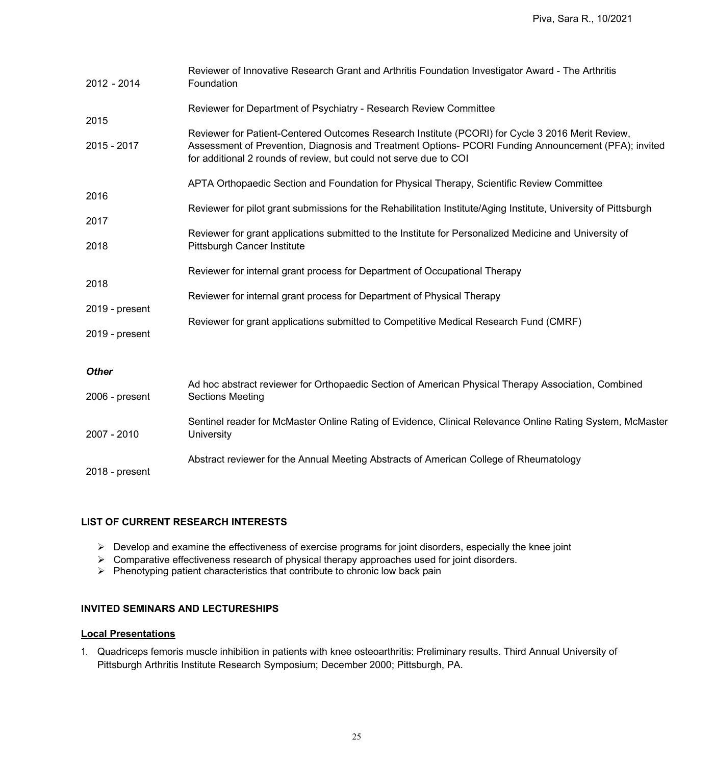| 2012 - 2014            | Reviewer of Innovative Research Grant and Arthritis Foundation Investigator Award - The Arthritis<br>Foundation                                                                                                                                                               |
|------------------------|-------------------------------------------------------------------------------------------------------------------------------------------------------------------------------------------------------------------------------------------------------------------------------|
| 2015                   | Reviewer for Department of Psychiatry - Research Review Committee                                                                                                                                                                                                             |
| 2015 - 2017            | Reviewer for Patient-Centered Outcomes Research Institute (PCORI) for Cycle 3 2016 Merit Review,<br>Assessment of Prevention, Diagnosis and Treatment Options- PCORI Funding Announcement (PFA); invited<br>for additional 2 rounds of review, but could not serve due to COI |
| 2016                   | APTA Orthopaedic Section and Foundation for Physical Therapy, Scientific Review Committee                                                                                                                                                                                     |
| 2017                   | Reviewer for pilot grant submissions for the Rehabilitation Institute/Aging Institute, University of Pittsburgh                                                                                                                                                               |
| 2018                   | Reviewer for grant applications submitted to the Institute for Personalized Medicine and University of<br><b>Pittsburgh Cancer Institute</b>                                                                                                                                  |
|                        | Reviewer for internal grant process for Department of Occupational Therapy                                                                                                                                                                                                    |
| 2018<br>2019 - present | Reviewer for internal grant process for Department of Physical Therapy                                                                                                                                                                                                        |
| 2019 - present         | Reviewer for grant applications submitted to Competitive Medical Research Fund (CMRF)                                                                                                                                                                                         |
| <b>Other</b>           |                                                                                                                                                                                                                                                                               |
| 2006 - present         | Ad hoc abstract reviewer for Orthopaedic Section of American Physical Therapy Association, Combined<br><b>Sections Meeting</b>                                                                                                                                                |
| 2007 - 2010            | Sentinel reader for McMaster Online Rating of Evidence, Clinical Relevance Online Rating System, McMaster<br>University                                                                                                                                                       |
| 2018 - present         | Abstract reviewer for the Annual Meeting Abstracts of American College of Rheumatology                                                                                                                                                                                        |

## **LIST OF CURRENT RESEARCH INTERESTS**

- $\triangleright$  Develop and examine the effectiveness of exercise programs for joint disorders, especially the knee joint
- Comparative effectiveness research of physical therapy approaches used for joint disorders.
- $\triangleright$  Phenotyping patient characteristics that contribute to chronic low back pain

### **INVITED SEMINARS AND LECTURESHIPS**

# **Local Presentations**

1. Quadriceps femoris muscle inhibition in patients with knee osteoarthritis: Preliminary results. Third Annual University of Pittsburgh Arthritis Institute Research Symposium; December 2000; Pittsburgh, PA.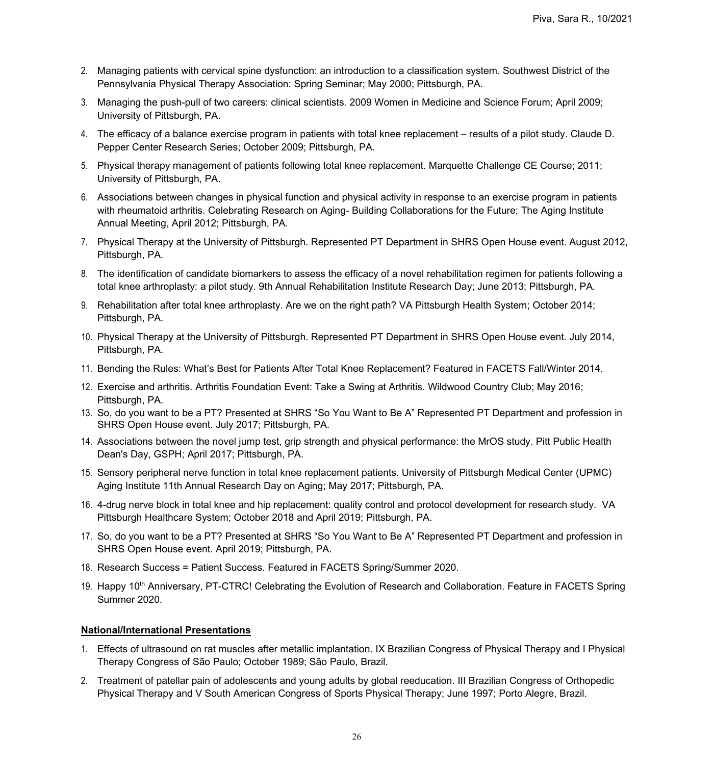- 2. Managing patients with cervical spine dysfunction: an introduction to a classification system. Southwest District of the Pennsylvania Physical Therapy Association: Spring Seminar; May 2000; Pittsburgh, PA.
- 3. Managing the push-pull of two careers: clinical scientists. 2009 Women in Medicine and Science Forum; April 2009; University of Pittsburgh, PA.
- 4. The efficacy of a balance exercise program in patients with total knee replacement results of a pilot study. Claude D. Pepper Center Research Series; October 2009; Pittsburgh, PA.
- 5. Physical therapy management of patients following total knee replacement. Marquette Challenge CE Course; 2011; University of Pittsburgh, PA.
- 6. Associations between changes in physical function and physical activity in response to an exercise program in patients with rheumatoid arthritis. Celebrating Research on Aging- Building Collaborations for the Future; The Aging Institute Annual Meeting, April 2012; Pittsburgh, PA.
- 7. Physical Therapy at the University of Pittsburgh. Represented PT Department in SHRS Open House event. August 2012, Pittsburgh, PA.
- 8. The identification of candidate biomarkers to assess the efficacy of a novel rehabilitation regimen for patients following a total knee arthroplasty: a pilot study. 9th Annual Rehabilitation Institute Research Day; June 2013; Pittsburgh, PA.
- 9. Rehabilitation after total knee arthroplasty. Are we on the right path? VA Pittsburgh Health System; October 2014; Pittsburgh, PA.
- 10. Physical Therapy at the University of Pittsburgh. Represented PT Department in SHRS Open House event. July 2014, Pittsburgh, PA.
- 11. Bending the Rules: What's Best for Patients After Total Knee Replacement? Featured in FACETS Fall/Winter 2014.
- 12. Exercise and arthritis. Arthritis Foundation Event: Take a Swing at Arthritis. Wildwood Country Club; May 2016; Pittsburgh, PA.
- 13. So, do you want to be a PT? Presented at SHRS "So You Want to Be A" Represented PT Department and profession in SHRS Open House event. July 2017; Pittsburgh, PA.
- 14. Associations between the novel jump test, grip strength and physical performance: the MrOS study. Pitt Public Health Dean's Day, GSPH; April 2017; Pittsburgh, PA.
- 15. Sensory peripheral nerve function in total knee replacement patients. University of Pittsburgh Medical Center (UPMC) Aging Institute 11th Annual Research Day on Aging; May 2017; Pittsburgh, PA.
- 16. 4-drug nerve block in total knee and hip replacement: quality control and protocol development for research study. VA Pittsburgh Healthcare System; October 2018 and April 2019; Pittsburgh, PA.
- 17. So, do you want to be a PT? Presented at SHRS "So You Want to Be A" Represented PT Department and profession in SHRS Open House event. April 2019; Pittsburgh, PA.
- 18. Research Success = Patient Success. Featured in FACETS Spring/Summer 2020.
- 19. Happy 10<sup>th</sup> Anniversary, PT-CTRC! Celebrating the Evolution of Research and Collaboration. Feature in FACETS Spring Summer 2020.

### **National/International Presentations**

- 1. Effects of ultrasound on rat muscles after metallic implantation. IX Brazilian Congress of Physical Therapy and I Physical Therapy Congress of São Paulo; October 1989; São Paulo, Brazil.
- 2. Treatment of patellar pain of adolescents and young adults by global reeducation. III Brazilian Congress of Orthopedic Physical Therapy and V South American Congress of Sports Physical Therapy; June 1997; Porto Alegre, Brazil.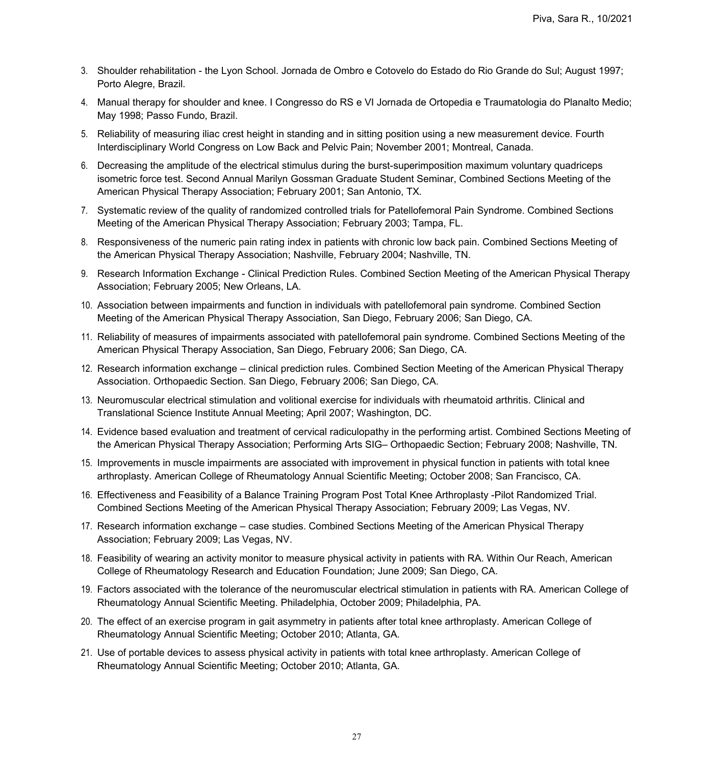- 3. Shoulder rehabilitation the Lyon School. Jornada de Ombro e Cotovelo do Estado do Rio Grande do Sul; August 1997; Porto Alegre, Brazil.
- 4. Manual therapy for shoulder and knee. I Congresso do RS e VI Jornada de Ortopedia e Traumatologia do Planalto Medio; May 1998; Passo Fundo, Brazil.
- 5. Reliability of measuring iliac crest height in standing and in sitting position using a new measurement device. Fourth Interdisciplinary World Congress on Low Back and Pelvic Pain; November 2001; Montreal, Canada.
- 6. Decreasing the amplitude of the electrical stimulus during the burst-superimposition maximum voluntary quadriceps isometric force test. Second Annual Marilyn Gossman Graduate Student Seminar, Combined Sections Meeting of the American Physical Therapy Association; February 2001; San Antonio, TX.
- 7. Systematic review of the quality of randomized controlled trials for Patellofemoral Pain Syndrome. Combined Sections Meeting of the American Physical Therapy Association; February 2003; Tampa, FL.
- 8. Responsiveness of the numeric pain rating index in patients with chronic low back pain. Combined Sections Meeting of the American Physical Therapy Association; Nashville, February 2004; Nashville, TN.
- 9. Research Information Exchange Clinical Prediction Rules. Combined Section Meeting of the American Physical Therapy Association; February 2005; New Orleans, LA.
- 10. Association between impairments and function in individuals with patellofemoral pain syndrome. Combined Section Meeting of the American Physical Therapy Association, San Diego, February 2006; San Diego, CA.
- 11. Reliability of measures of impairments associated with patellofemoral pain syndrome. Combined Sections Meeting of the American Physical Therapy Association, San Diego, February 2006; San Diego, CA.
- 12. Research information exchange clinical prediction rules. Combined Section Meeting of the American Physical Therapy Association. Orthopaedic Section. San Diego, February 2006; San Diego, CA.
- 13. Neuromuscular electrical stimulation and volitional exercise for individuals with rheumatoid arthritis. Clinical and Translational Science Institute Annual Meeting; April 2007; Washington, DC.
- 14. Evidence based evaluation and treatment of cervical radiculopathy in the performing artist. Combined Sections Meeting of the American Physical Therapy Association; Performing Arts SIG– Orthopaedic Section; February 2008; Nashville, TN.
- 15. Improvements in muscle impairments are associated with improvement in physical function in patients with total knee arthroplasty. American College of Rheumatology Annual Scientific Meeting; October 2008; San Francisco, CA.
- 16. Effectiveness and Feasibility of a Balance Training Program Post Total Knee Arthroplasty -Pilot Randomized Trial. Combined Sections Meeting of the American Physical Therapy Association; February 2009; Las Vegas, NV.
- 17. Research information exchange case studies. Combined Sections Meeting of the American Physical Therapy Association; February 2009; Las Vegas, NV.
- 18. Feasibility of wearing an activity monitor to measure physical activity in patients with RA. Within Our Reach, American College of Rheumatology Research and Education Foundation; June 2009; San Diego, CA.
- 19. Factors associated with the tolerance of the neuromuscular electrical stimulation in patients with RA. American College of Rheumatology Annual Scientific Meeting. Philadelphia, October 2009; Philadelphia, PA.
- 20. The effect of an exercise program in gait asymmetry in patients after total knee arthroplasty. American College of Rheumatology Annual Scientific Meeting; October 2010; Atlanta, GA.
- 21. Use of portable devices to assess physical activity in patients with total knee arthroplasty. American College of Rheumatology Annual Scientific Meeting; October 2010; Atlanta, GA.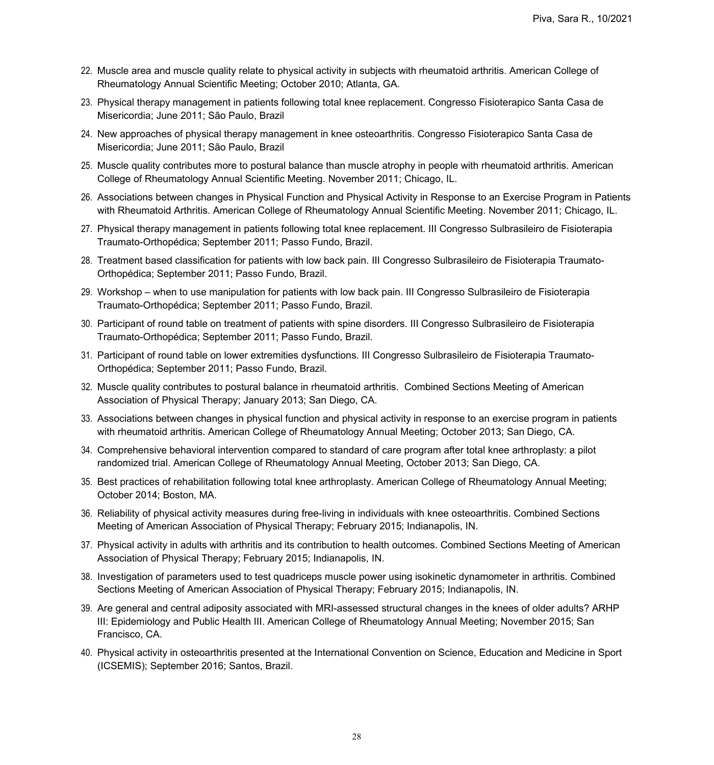- 22. Muscle area and muscle quality relate to physical activity in subjects with rheumatoid arthritis. American College of Rheumatology Annual Scientific Meeting; October 2010; Atlanta, GA.
- 23. Physical therapy management in patients following total knee replacement. Congresso Fisioterapico Santa Casa de Misericordia; June 2011; São Paulo, Brazil
- 24. New approaches of physical therapy management in knee osteoarthritis. Congresso Fisioterapico Santa Casa de Misericordia; June 2011; São Paulo, Brazil
- 25. Muscle quality contributes more to postural balance than muscle atrophy in people with rheumatoid arthritis. American College of Rheumatology Annual Scientific Meeting. November 2011; Chicago, IL.
- 26. Associations between changes in Physical Function and Physical Activity in Response to an Exercise Program in Patients with Rheumatoid Arthritis. American College of Rheumatology Annual Scientific Meeting. November 2011; Chicago, IL.
- 27. Physical therapy management in patients following total knee replacement. III Congresso Sulbrasileiro de Fisioterapia Traumato-Orthopédica; September 2011; Passo Fundo, Brazil.
- 28. Treatment based classification for patients with low back pain. III Congresso Sulbrasileiro de Fisioterapia Traumato-Orthopédica; September 2011; Passo Fundo, Brazil.
- 29. Workshop when to use manipulation for patients with low back pain. III Congresso Sulbrasileiro de Fisioterapia Traumato-Orthopédica; September 2011; Passo Fundo, Brazil.
- 30. Participant of round table on treatment of patients with spine disorders. III Congresso Sulbrasileiro de Fisioterapia Traumato-Orthopédica; September 2011; Passo Fundo, Brazil.
- 31. Participant of round table on lower extremities dysfunctions. III Congresso Sulbrasileiro de Fisioterapia Traumato-Orthopédica; September 2011; Passo Fundo, Brazil.
- 32. Muscle quality contributes to postural balance in rheumatoid arthritis. Combined Sections Meeting of American Association of Physical Therapy; January 2013; San Diego, CA.
- 33. Associations between changes in physical function and physical activity in response to an exercise program in patients with rheumatoid arthritis. American College of Rheumatology Annual Meeting; October 2013; San Diego, CA.
- 34. Comprehensive behavioral intervention compared to standard of care program after total knee arthroplasty: a pilot randomized trial. American College of Rheumatology Annual Meeting, October 2013; San Diego, CA.
- 35. Best practices of rehabilitation following total knee arthroplasty. American College of Rheumatology Annual Meeting; October 2014; Boston, MA.
- 36. Reliability of physical activity measures during free-living in individuals with knee osteoarthritis. Combined Sections Meeting of American Association of Physical Therapy; February 2015; Indianapolis, IN.
- 37. Physical activity in adults with arthritis and its contribution to health outcomes. Combined Sections Meeting of American Association of Physical Therapy; February 2015; Indianapolis, IN.
- 38. Investigation of parameters used to test quadriceps muscle power using isokinetic dynamometer in arthritis. Combined Sections Meeting of American Association of Physical Therapy; February 2015; Indianapolis, IN.
- 39. Are general and central adiposity associated with MRI-assessed structural changes in the knees of older adults? ARHP III: Epidemiology and Public Health III. American College of Rheumatology Annual Meeting; November 2015; San Francisco, CA.
- 40. Physical activity in osteoarthritis presented at the International Convention on Science, Education and Medicine in Sport (ICSEMIS); September 2016; Santos, Brazil.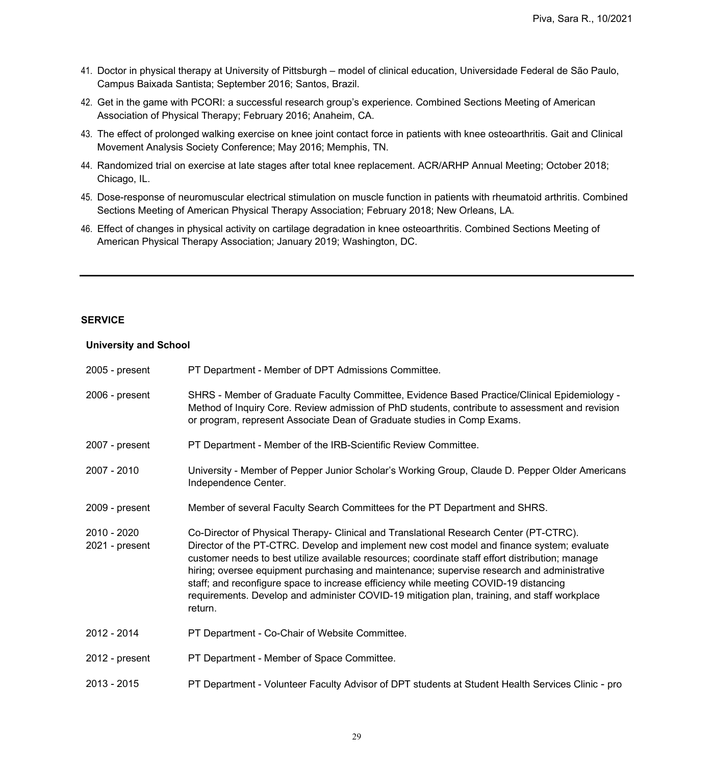- 41. Doctor in physical therapy at University of Pittsburgh model of clinical education, Universidade Federal de São Paulo, Campus Baixada Santista; September 2016; Santos, Brazil.
- 42. Get in the game with PCORI: a successful research group's experience. Combined Sections Meeting of American Association of Physical Therapy; February 2016; Anaheim, CA.
- 43. The effect of prolonged walking exercise on knee joint contact force in patients with knee osteoarthritis. Gait and Clinical Movement Analysis Society Conference; May 2016; Memphis, TN.
- 44. Randomized trial on exercise at late stages after total knee replacement. ACR/ARHP Annual Meeting; October 2018; Chicago, IL.
- 45. Dose-response of neuromuscular electrical stimulation on muscle function in patients with rheumatoid arthritis. Combined Sections Meeting of American Physical Therapy Association; February 2018; New Orleans, LA.
- 46. Effect of changes in physical activity on cartilage degradation in knee osteoarthritis. Combined Sections Meeting of American Physical Therapy Association; January 2019; Washington, DC.

#### **SERVICE**

#### **University and School**

| $2005$ - present              | PT Department - Member of DPT Admissions Committee.                                                                                                                                                                                                                                                                                                                                                                                                                                                                                                                                         |
|-------------------------------|---------------------------------------------------------------------------------------------------------------------------------------------------------------------------------------------------------------------------------------------------------------------------------------------------------------------------------------------------------------------------------------------------------------------------------------------------------------------------------------------------------------------------------------------------------------------------------------------|
| 2006 - present                | SHRS - Member of Graduate Faculty Committee, Evidence Based Practice/Clinical Epidemiology -<br>Method of Inquiry Core. Review admission of PhD students, contribute to assessment and revision<br>or program, represent Associate Dean of Graduate studies in Comp Exams.                                                                                                                                                                                                                                                                                                                  |
| 2007 - present                | PT Department - Member of the IRB-Scientific Review Committee.                                                                                                                                                                                                                                                                                                                                                                                                                                                                                                                              |
| 2007 - 2010                   | University - Member of Pepper Junior Scholar's Working Group, Claude D. Pepper Older Americans<br>Independence Center.                                                                                                                                                                                                                                                                                                                                                                                                                                                                      |
| 2009 - present                | Member of several Faculty Search Committees for the PT Department and SHRS.                                                                                                                                                                                                                                                                                                                                                                                                                                                                                                                 |
| 2010 - 2020<br>2021 - present | Co-Director of Physical Therapy- Clinical and Translational Research Center (PT-CTRC).<br>Director of the PT-CTRC. Develop and implement new cost model and finance system; evaluate<br>customer needs to best utilize available resources; coordinate staff effort distribution; manage<br>hiring; oversee equipment purchasing and maintenance; supervise research and administrative<br>staff; and reconfigure space to increase efficiency while meeting COVID-19 distancing<br>requirements. Develop and administer COVID-19 mitigation plan, training, and staff workplace<br>return. |
| 2012 - 2014                   | PT Department - Co-Chair of Website Committee.                                                                                                                                                                                                                                                                                                                                                                                                                                                                                                                                              |
| 2012 - present                | PT Department - Member of Space Committee.                                                                                                                                                                                                                                                                                                                                                                                                                                                                                                                                                  |
| 2013 - 2015                   | PT Department - Volunteer Faculty Advisor of DPT students at Student Health Services Clinic - pro                                                                                                                                                                                                                                                                                                                                                                                                                                                                                           |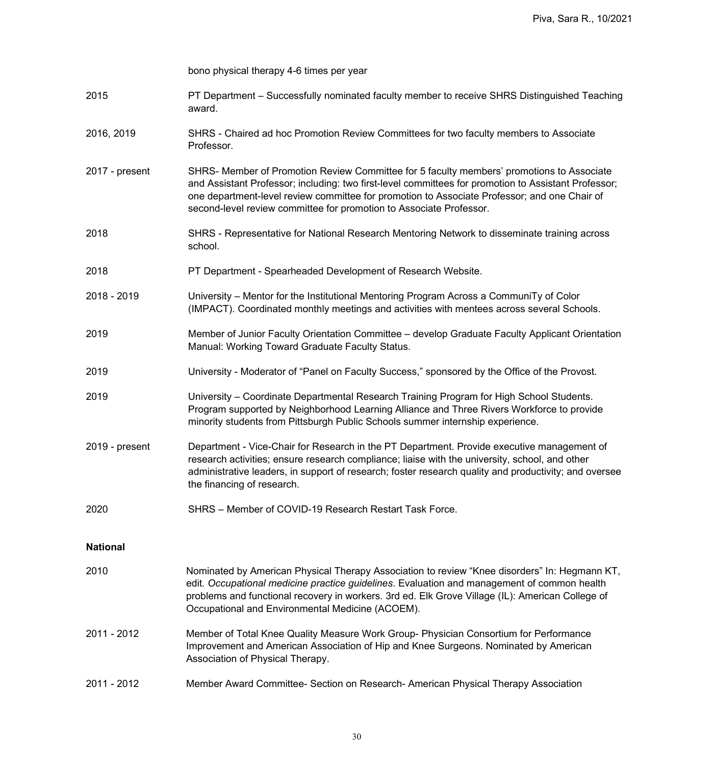|                 | bono physical therapy 4-6 times per year                                                                                                                                                                                                                                                                                                                                 |
|-----------------|--------------------------------------------------------------------------------------------------------------------------------------------------------------------------------------------------------------------------------------------------------------------------------------------------------------------------------------------------------------------------|
| 2015            | PT Department – Successfully nominated faculty member to receive SHRS Distinguished Teaching<br>award.                                                                                                                                                                                                                                                                   |
| 2016, 2019      | SHRS - Chaired ad hoc Promotion Review Committees for two faculty members to Associate<br>Professor.                                                                                                                                                                                                                                                                     |
| 2017 - present  | SHRS- Member of Promotion Review Committee for 5 faculty members' promotions to Associate<br>and Assistant Professor; including: two first-level committees for promotion to Assistant Professor;<br>one department-level review committee for promotion to Associate Professor; and one Chair of<br>second-level review committee for promotion to Associate Professor. |
| 2018            | SHRS - Representative for National Research Mentoring Network to disseminate training across<br>school.                                                                                                                                                                                                                                                                  |
| 2018            | PT Department - Spearheaded Development of Research Website.                                                                                                                                                                                                                                                                                                             |
| 2018 - 2019     | University – Mentor for the Institutional Mentoring Program Across a CommuniTy of Color<br>(IMPACT). Coordinated monthly meetings and activities with mentees across several Schools.                                                                                                                                                                                    |
| 2019            | Member of Junior Faculty Orientation Committee - develop Graduate Faculty Applicant Orientation<br>Manual: Working Toward Graduate Faculty Status.                                                                                                                                                                                                                       |
| 2019            | University - Moderator of "Panel on Faculty Success," sponsored by the Office of the Provost.                                                                                                                                                                                                                                                                            |
| 2019            | University - Coordinate Departmental Research Training Program for High School Students.<br>Program supported by Neighborhood Learning Alliance and Three Rivers Workforce to provide<br>minority students from Pittsburgh Public Schools summer internship experience.                                                                                                  |
| 2019 - present  | Department - Vice-Chair for Research in the PT Department. Provide executive management of<br>research activities; ensure research compliance; liaise with the university, school, and other<br>administrative leaders, in support of research; foster research quality and productivity; and oversee<br>the financing of research.                                      |
| 2020            | SHRS - Member of COVID-19 Research Restart Task Force.                                                                                                                                                                                                                                                                                                                   |
| <b>National</b> |                                                                                                                                                                                                                                                                                                                                                                          |
| 2010            | Nominated by American Physical Therapy Association to review "Knee disorders" In: Hegmann KT,<br>edit. Occupational medicine practice guidelines. Evaluation and management of common health<br>problems and functional recovery in workers. 3rd ed. Elk Grove Village (IL): American College of<br>Occupational and Environmental Medicine (ACOEM).                     |
| 2011 - 2012     | Member of Total Knee Quality Measure Work Group- Physician Consortium for Performance<br>Improvement and American Association of Hip and Knee Surgeons. Nominated by American<br>Association of Physical Therapy.                                                                                                                                                        |
| 2011 - 2012     | Member Award Committee- Section on Research-American Physical Therapy Association                                                                                                                                                                                                                                                                                        |